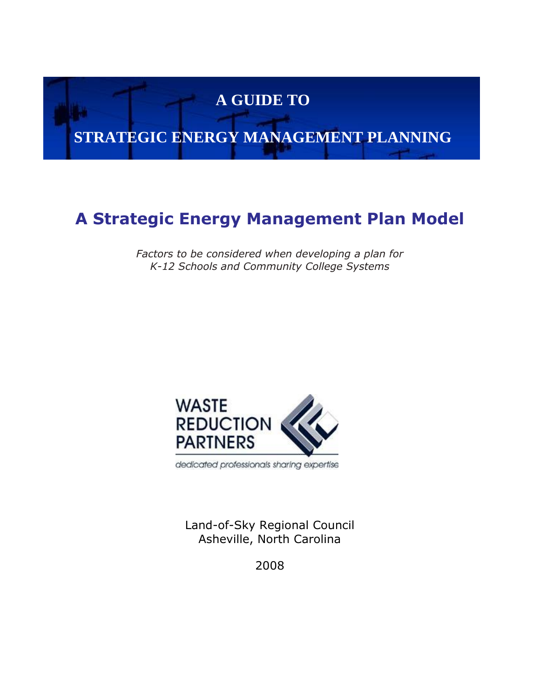# **A GUIDE TO**

# **STRATEGIC ENERGY MANAGEMENT PLANNING**

## **A Strategic Energy Management Plan Model**

*Factors to be considered when developing a plan for K-12 Schools and Community College Systems*



dedicated professionals sharing expertise

Land-of-Sky Regional Council Asheville, North Carolina

2008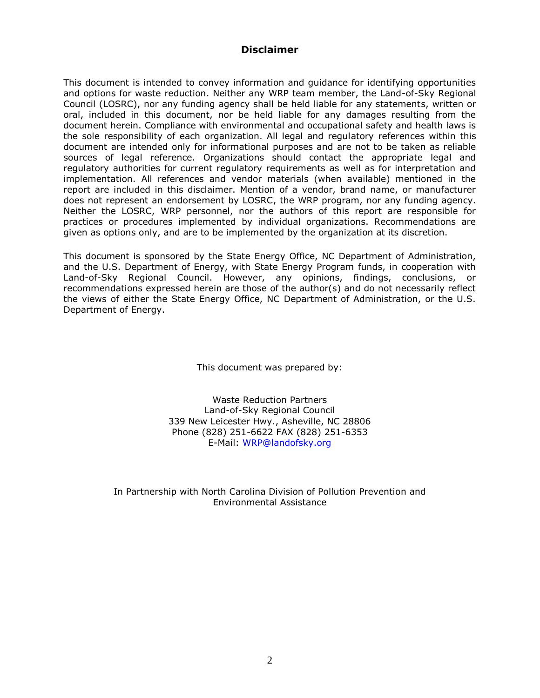#### **Disclaimer**

This document is intended to convey information and guidance for identifying opportunities and options for waste reduction. Neither any WRP team member, the Land-of-Sky Regional Council (LOSRC), nor any funding agency shall be held liable for any statements, written or oral, included in this document, nor be held liable for any damages resulting from the document herein. Compliance with environmental and occupational safety and health laws is the sole responsibility of each organization. All legal and regulatory references within this document are intended only for informational purposes and are not to be taken as reliable sources of legal reference. Organizations should contact the appropriate legal and regulatory authorities for current regulatory requirements as well as for interpretation and implementation. All references and vendor materials (when available) mentioned in the report are included in this disclaimer. Mention of a vendor, brand name, or manufacturer does not represent an endorsement by LOSRC, the WRP program, nor any funding agency. Neither the LOSRC, WRP personnel, nor the authors of this report are responsible for practices or procedures implemented by individual organizations. Recommendations are given as options only, and are to be implemented by the organization at its discretion.

This document is sponsored by the State Energy Office, NC Department of Administration, and the U.S. Department of Energy, with State Energy Program funds, in cooperation with Land-of-Sky Regional Council. However, any opinions, findings, conclusions, or recommendations expressed herein are those of the author(s) and do not necessarily reflect the views of either the State Energy Office, NC Department of Administration, or the U.S. Department of Energy.

This document was prepared by:

Waste Reduction Partners Land-of-Sky Regional Council 339 New Leicester Hwy., Asheville, NC 28806 Phone (828) 251-6622 FAX (828) 251-6353 E-Mail: [WRP@landofsky.org](mailto:WRP@landofsky.org)

In Partnership with North Carolina Division of Pollution Prevention and Environmental Assistance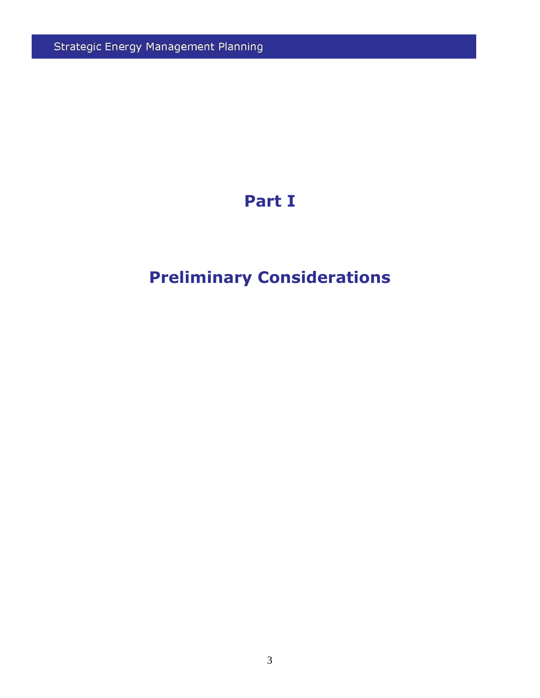Strategic Energy Management Planning

# **Part I**

# **Preliminary Considerations**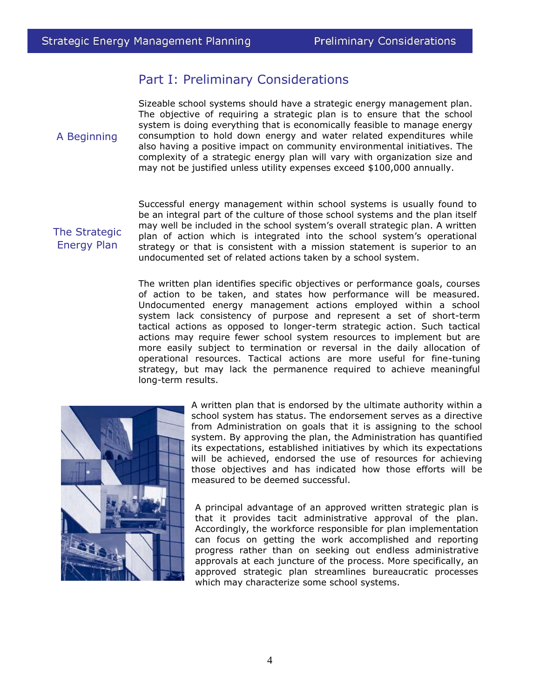### Part I: Preliminary Considerations

A Beginning

Sizeable school systems should have a strategic energy management plan. The objective of requiring a strategic plan is to ensure that the school system is doing everything that is economically feasible to manage energy consumption to hold down energy and water related expenditures while also having a positive impact on community environmental initiatives. The complexity of a strategic energy plan will vary with organization size and may not be justified unless utility expenses exceed \$100,000 annually.

The Strategic Energy Plan

Successful energy management within school systems is usually found to be an integral part of the culture of those school systems and the plan itself may well be included in the school system's overall strategic plan. A written plan of action which is integrated into the school system's operational strategy or that is consistent with a mission statement is superior to an undocumented set of related actions taken by a school system.

The written plan identifies specific objectives or performance goals, courses of action to be taken, and states how performance will be measured. Undocumented energy management actions employed within a school system lack consistency of purpose and represent a set of short-term tactical actions as opposed to longer-term strategic action. Such tactical actions may require fewer school system resources to implement but are more easily subject to termination or reversal in the daily allocation of operational resources. Tactical actions are more useful for fine-tuning strategy, but may lack the permanence required to achieve meaningful long-term results.



A written plan that is endorsed by the ultimate authority within a school system has status. The endorsement serves as a directive from Administration on goals that it is assigning to the school system. By approving the plan, the Administration has quantified its expectations, established initiatives by which its expectations will be achieved, endorsed the use of resources for achieving those objectives and has indicated how those efforts will be measured to be deemed successful.

A principal advantage of an approved written strategic plan is that it provides tacit administrative approval of the plan. Accordingly, the workforce responsible for plan implementation can focus on getting the work accomplished and reporting progress rather than on seeking out endless administrative approvals at each juncture of the process. More specifically, an approved strategic plan streamlines bureaucratic processes which may characterize some school systems.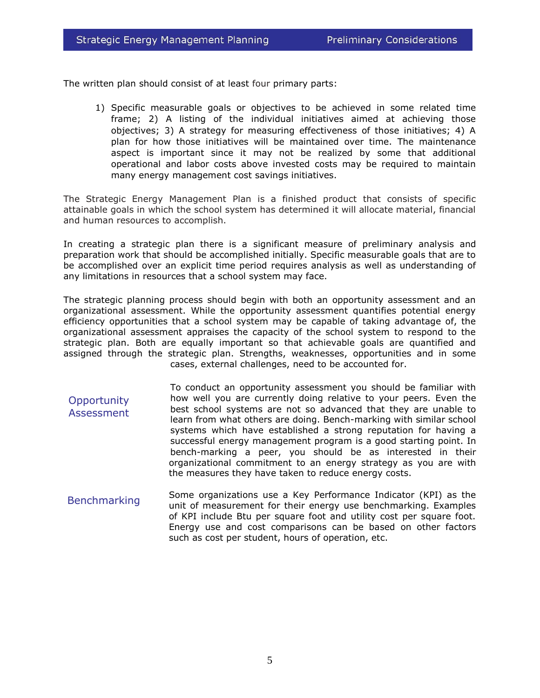The written plan should consist of at least four primary parts:

1) Specific measurable goals or objectives to be achieved in some related time frame; 2) A listing of the individual initiatives aimed at achieving those objectives; 3) A strategy for measuring effectiveness of those initiatives; 4) A plan for how those initiatives will be maintained over time. The maintenance aspect is important since it may not be realized by some that additional operational and labor costs above invested costs may be required to maintain many energy management cost savings initiatives.

The Strategic Energy Management Plan is a finished product that consists of specific attainable goals in which the school system has determined it will allocate material, financial and human resources to accomplish.

In creating a strategic plan there is a significant measure of preliminary analysis and preparation work that should be accomplished initially. Specific measurable goals that are to be accomplished over an explicit time period requires analysis as well as understanding of any limitations in resources that a school system may face.

The strategic planning process should begin with both an opportunity assessment and an organizational assessment. While the opportunity assessment quantifies potential energy efficiency opportunities that a school system may be capable of taking advantage of, the organizational assessment appraises the capacity of the school system to respond to the strategic plan. Both are equally important so that achievable goals are quantified and assigned through the strategic plan. Strengths, weaknesses, opportunities and in some cases, external challenges, need to be accounted for.

- To conduct an opportunity assessment you should be familiar with how well you are currently doing relative to your peers. Even the best school systems are not so advanced that they are unable to learn from what others are doing. Bench-marking with similar school systems which have established a strong reputation for having a successful energy management program is a good starting point. In bench-marking a peer, you should be as interested in their organizational commitment to an energy strategy as you are with the measures they have taken to reduce energy costs. **Opportunity Assessment**
- Some organizations use a Key Performance Indicator (KPI) as the unit of measurement for their energy use benchmarking. Examples of KPI include Btu per square foot and utility cost per square foot. Energy use and cost comparisons can be based on other factors such as cost per student, hours of operation, etc. Benchmarking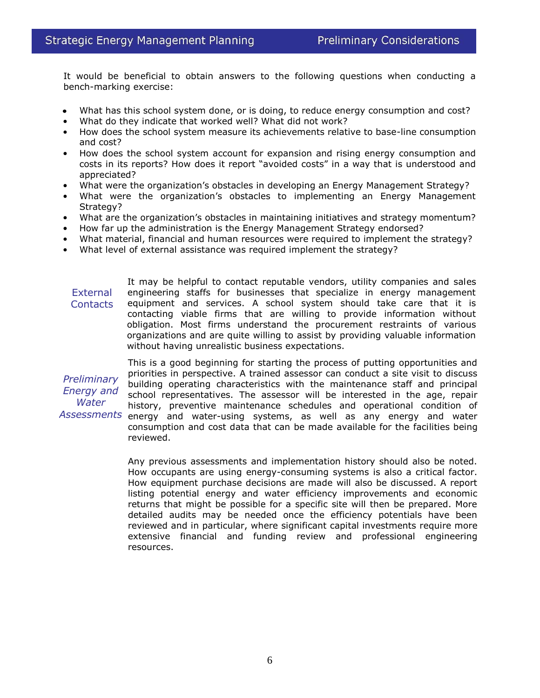It would be beneficial to obtain answers to the following questions when conducting a bench-marking exercise:

- What has this school system done, or is doing, to reduce energy consumption and cost?
- What do they indicate that worked well? What did not work?
- How does the school system measure its achievements relative to base-line consumption and cost?
- How does the school system account for expansion and rising energy consumption and costs in its reports? How does it report "avoided costs" in a way that is understood and appreciated?
- What were the organization's obstacles in developing an Energy Management Strategy?
- What were the organization's obstacles to implementing an Energy Management Strategy?
- What are the organization's obstacles in maintaining initiatives and strategy momentum?
- How far up the administration is the Energy Management Strategy endorsed?
- What material, financial and human resources were required to implement the strategy?
- What level of external assistance was required implement the strategy?

It may be helpful to contact reputable vendors, utility companies and sales engineering staffs for businesses that specialize in energy management equipment and services. A school system should take care that it is contacting viable firms that are willing to provide information without obligation. Most firms understand the procurement restraints of various organizations and are quite willing to assist by providing valuable information without having unrealistic business expectations. **External Contacts** 

*Preliminary Energy and Water* 

This is a good beginning for starting the process of putting opportunities and priorities in perspective. A trained assessor can conduct a site visit to discuss building operating characteristics with the maintenance staff and principal school representatives. The assessor will be interested in the age, repair history, preventive maintenance schedules and operational condition of Assessments energy and water-using systems, as well as any energy and water consumption and cost data that can be made available for the facilities being reviewed.

> Any previous assessments and implementation history should also be noted. How occupants are using energy-consuming systems is also a critical factor. How equipment purchase decisions are made will also be discussed. A report listing potential energy and water efficiency improvements and economic returns that might be possible for a specific site will then be prepared. More detailed audits may be needed once the efficiency potentials have been reviewed and in particular, where significant capital investments require more extensive financial and funding review and professional engineering resources.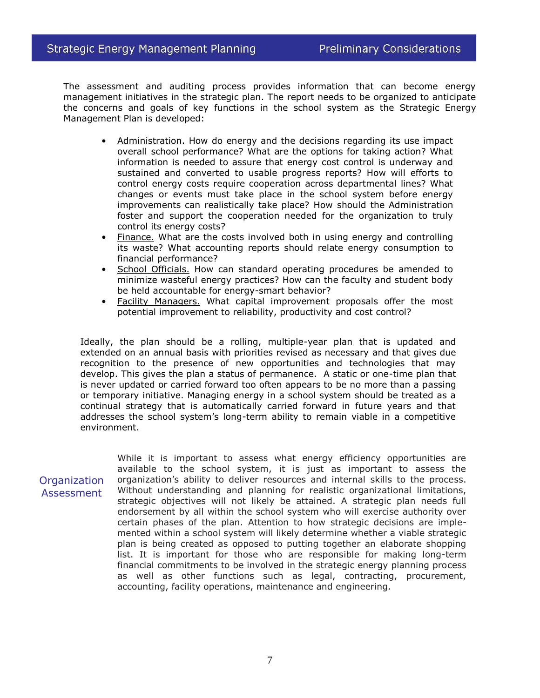The assessment and auditing process provides information that can become energy management initiatives in the strategic plan. The report needs to be organized to anticipate the concerns and goals of key functions in the school system as the Strategic Energy Management Plan is developed:

- Administration. How do energy and the decisions regarding its use impact overall school performance? What are the options for taking action? What information is needed to assure that energy cost control is underway and sustained and converted to usable progress reports? How will efforts to control energy costs require cooperation across departmental lines? What changes or events must take place in the school system before energy improvements can realistically take place? How should the Administration foster and support the cooperation needed for the organization to truly control its energy costs?
- Finance. What are the costs involved both in using energy and controlling its waste? What accounting reports should relate energy consumption to financial performance?
- School Officials. How can standard operating procedures be amended to minimize wasteful energy practices? How can the faculty and student body be held accountable for energy-smart behavior?
- Facility Managers. What capital improvement proposals offer the most potential improvement to reliability, productivity and cost control?

Ideally, the plan should be a rolling, multiple-year plan that is updated and extended on an annual basis with priorities revised as necessary and that gives due recognition to the presence of new opportunities and technologies that may develop. This gives the plan a status of permanence. A static or one-time plan that is never updated or carried forward too often appears to be no more than a passing or temporary initiative. Managing energy in a school system should be treated as a continual strategy that is automatically carried forward in future years and that addresses the school system's long-term ability to remain viable in a competitive environment.

**Organization** Assessment While it is important to assess what energy efficiency opportunities are available to the school system, it is just as important to assess the organization's ability to deliver resources and internal skills to the process. Without understanding and planning for realistic organizational limitations, strategic objectives will not likely be attained. A strategic plan needs full endorsement by all within the school system who will exercise authority over certain phases of the plan. Attention to how strategic decisions are implemented within a school system will likely determine whether a viable strategic plan is being created as opposed to putting together an elaborate shopping list. It is important for those who are responsible for making long-term financial commitments to be involved in the strategic energy planning process as well as other functions such as legal, contracting, procurement, accounting, facility operations, maintenance and engineering.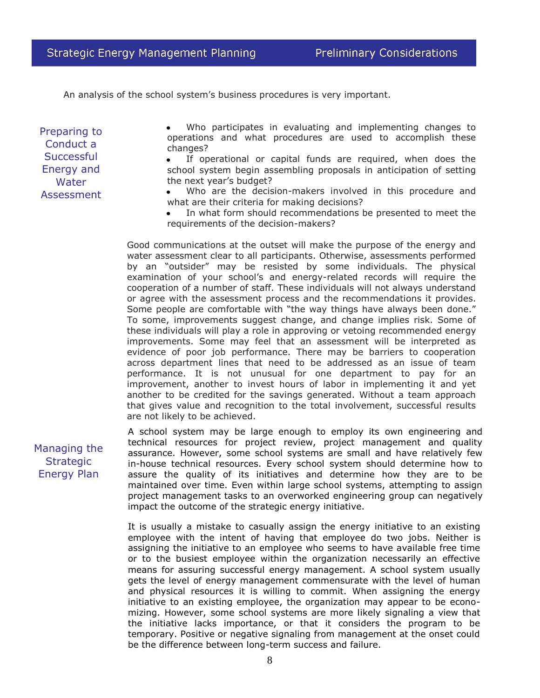An analysis of the school system's business procedures is very important.

Preparing to Conduct a **Successful** Energy and Water **Assessment** 

Who participates in evaluating and implementing changes to operations and what procedures are used to accomplish these changes?

If operational or capital funds are required, when does the school system begin assembling proposals in anticipation of setting the next year's budget?

Who are the decision-makers involved in this procedure and what are their criteria for making decisions?

In what form should recommendations be presented to meet the requirements of the decision-makers?

Good communications at the outset will make the purpose of the energy and water assessment clear to all participants. Otherwise, assessments performed by an "outsider" may be resisted by some individuals. The physical examination of your school's and energy-related records will require the cooperation of a number of staff. These individuals will not always understand or agree with the assessment process and the recommendations it provides. Some people are comfortable with "the way things have always been done." To some, improvements suggest change, and change implies risk. Some of these individuals will play a role in approving or vetoing recommended energy improvements. Some may feel that an assessment will be interpreted as evidence of poor job performance. There may be barriers to cooperation across department lines that need to be addressed as an issue of team performance. It is not unusual for one department to pay for an improvement, another to invest hours of labor in implementing it and yet another to be credited for the savings generated. Without a team approach that gives value and recognition to the total involvement, successful results are not likely to be achieved.

Managing the **Strategic** Energy Plan

A school system may be large enough to employ its own engineering and technical resources for project review, project management and quality assurance. However, some school systems are small and have relatively few in-house technical resources. Every school system should determine how to assure the quality of its initiatives and determine how they are to be maintained over time. Even within large school systems, attempting to assign project management tasks to an overworked engineering group can negatively impact the outcome of the strategic energy initiative.

It is usually a mistake to casually assign the energy initiative to an existing employee with the intent of having that employee do two jobs. Neither is assigning the initiative to an employee who seems to have available free time or to the busiest employee within the organization necessarily an effective means for assuring successful energy management. A school system usually gets the level of energy management commensurate with the level of human and physical resources it is willing to commit. When assigning the energy initiative to an existing employee, the organization may appear to be economizing. However, some school systems are more likely signaling a view that the initiative lacks importance, or that it considers the program to be temporary. Positive or negative signaling from management at the onset could be the difference between long-term success and failure.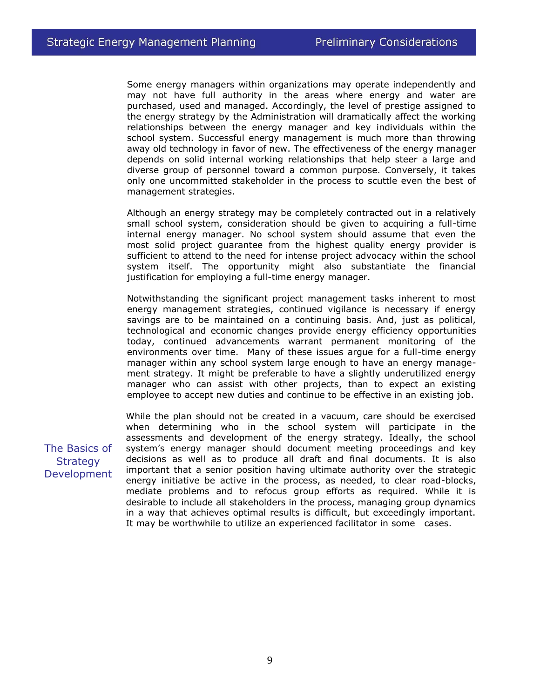Some energy managers within organizations may operate independently and may not have full authority in the areas where energy and water are purchased, used and managed. Accordingly, the level of prestige assigned to the energy strategy by the Administration will dramatically affect the working relationships between the energy manager and key individuals within the school system. Successful energy management is much more than throwing away old technology in favor of new. The effectiveness of the energy manager depends on solid internal working relationships that help steer a large and diverse group of personnel toward a common purpose. Conversely, it takes only one uncommitted stakeholder in the process to scuttle even the best of management strategies.

Although an energy strategy may be completely contracted out in a relatively small school system, consideration should be given to acquiring a full-time internal energy manager. No school system should assume that even the most solid project guarantee from the highest quality energy provider is sufficient to attend to the need for intense project advocacy within the school system itself. The opportunity might also substantiate the financial justification for employing a full-time energy manager.

Notwithstanding the significant project management tasks inherent to most energy management strategies, continued vigilance is necessary if energy savings are to be maintained on a continuing basis. And, just as political, technological and economic changes provide energy efficiency opportunities today, continued advancements warrant permanent monitoring of the environments over time. Many of these issues argue for a full-time energy manager within any school system large enough to have an energy management strategy. It might be preferable to have a slightly underutilized energy manager who can assist with other projects, than to expect an existing employee to accept new duties and continue to be effective in an existing job.

While the plan should not be created in a vacuum, care should be exercised when determining who in the school system will participate in the assessments and development of the energy strategy. Ideally, the school system's energy manager should document meeting proceedings and key decisions as well as to produce all draft and final documents. It is also important that a senior position having ultimate authority over the strategic energy initiative be active in the process, as needed, to clear road-blocks, mediate problems and to refocus group efforts as required. While it is desirable to include all stakeholders in the process, managing group dynamics in a way that achieves optimal results is difficult, but exceedingly important. It may be worthwhile to utilize an experienced facilitator in some cases.

The Basics of **Strategy** Development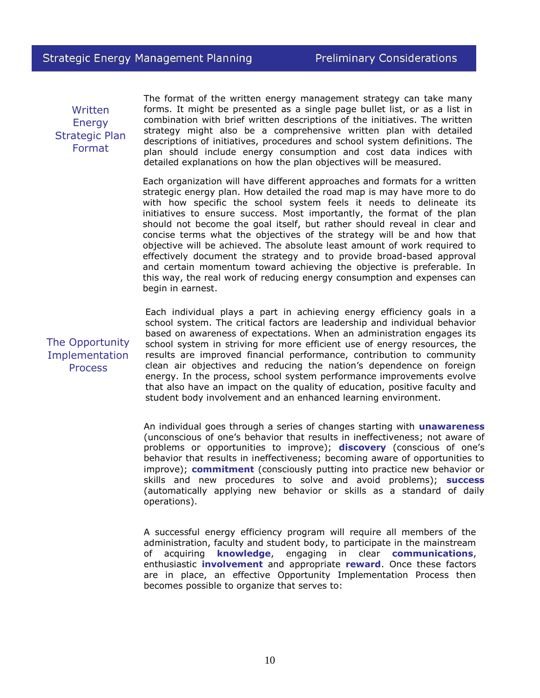Written **Energy** Strategic Plan Format

The format of the written energy management strategy can take many forms. It might be presented as a single page bullet list, or as a list in combination with brief written descriptions of the initiatives. The written strategy might also be a comprehensive written plan with detailed descriptions of initiatives, procedures and school system definitions. The plan should include energy consumption and cost data indices with detailed explanations on how the plan objectives will be measured.

Each organization will have different approaches and formats for a written strategic energy plan. How detailed the road map is may have more to do with how specific the school system feels it needs to delineate its initiatives to ensure success. Most importantly, the format of the plan should not become the goal itself, but rather should reveal in clear and concise terms what the objectives of the strategy will be and how that objective will be achieved. The absolute least amount of work required to effectively document the strategy and to provide broad-based approval and certain momentum toward achieving the objective is preferable. In this way, the real work of reducing energy consumption and expenses can begin in earnest.

The Opportunity Implementation **Process** 

Each individual plays a part in achieving energy efficiency goals in a school system. The critical factors are leadership and individual behavior based on awareness of expectations. When an administration engages its school system in striving for more efficient use of energy resources, the results are improved financial performance, contribution to community clean air objectives and reducing the nation's dependence on foreign energy. In the process, school system performance improvements evolve that also have an impact on the quality of education, positive faculty and student body involvement and an enhanced learning environment.

An individual goes through a series of changes starting with **unawareness**  (unconscious of one's behavior that results in ineffectiveness; not aware of problems or opportunities to improve); **discovery** (conscious of one's behavior that results in ineffectiveness; becoming aware of opportunities to improve); **commitment** (consciously putting into practice new behavior or skills and new procedures to solve and avoid problems); **success**  (automatically applying new behavior or skills as a standard of daily operations).

A successful energy efficiency program will require all members of the administration, faculty and student body, to participate in the mainstream of acquiring **knowledge**, engaging in clear **communications**, enthusiastic **involvement** and appropriate **reward**. Once these factors are in place, an effective Opportunity Implementation Process then becomes possible to organize that serves to: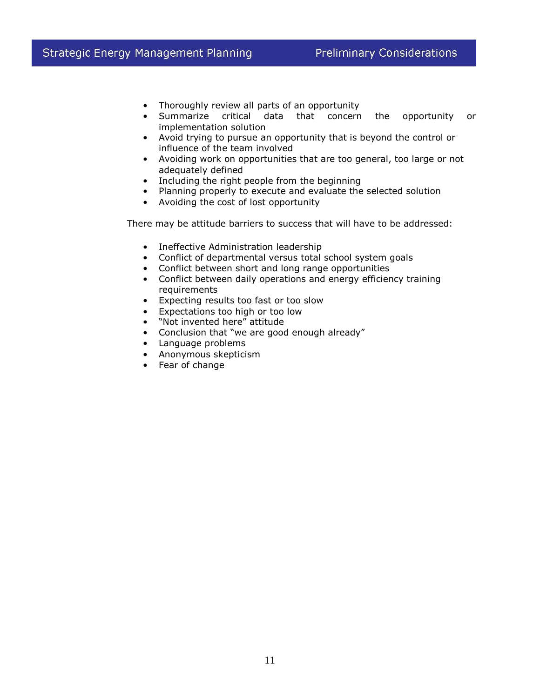- Thoroughly review all parts of an opportunity
- Summarize critical data that concern the opportunity or implementation solution
- Avoid trying to pursue an opportunity that is beyond the control or influence of the team involved
- Avoiding work on opportunities that are too general, too large or not adequately defined
- Including the right people from the beginning
- Planning properly to execute and evaluate the selected solution
- Avoiding the cost of lost opportunity

There may be attitude barriers to success that will have to be addressed:

- Ineffective Administration leadership
- Conflict of departmental versus total school system goals
- Conflict between short and long range opportunities
- Conflict between daily operations and energy efficiency training requirements
- Expecting results too fast or too slow
- Expectations too high or too low
- "Not invented here" attitude
- Conclusion that "we are good enough already"
- Language problems
- Anonymous skepticism
- Fear of change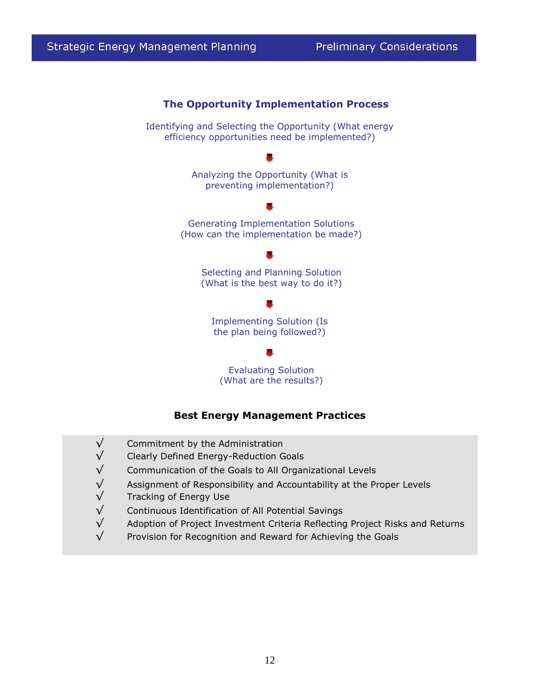

#### **Best Energy Management Practices**

- √ Commitment by the Administration
- √ Clearly Defined Energy-Reduction Goals
- $\sqrt{ }$  Communication of the Goals to All Organizational Levels
- $\sqrt{}$  Assignment of Responsibility and Accountability at the Proper Levels
- √ Tracking of Energy Use
- $\sqrt{ }$  Continuous Identification of All Potential Savings
- $\sqrt{ }$  Adoption of Project Investment Criteria Reflecting Project Risks and Returns
- $\sqrt{ }$  Provision for Recognition and Reward for Achieving the Goals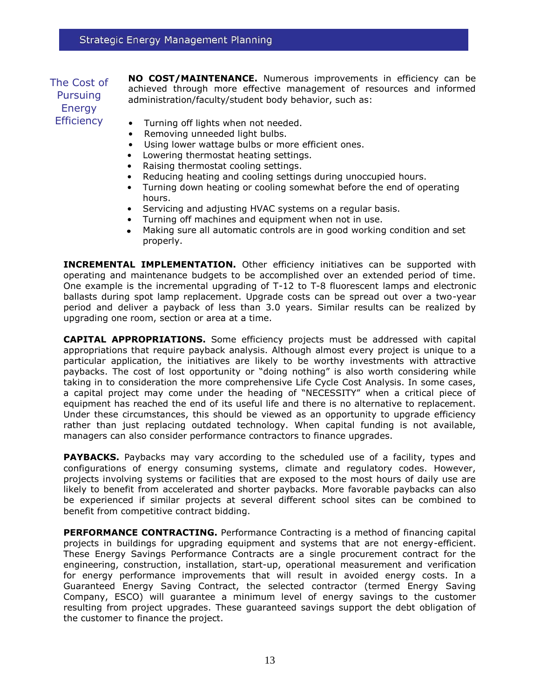#### The Cost of Pursuing Energy **Efficiency**

**NO COST/MAINTENANCE.** Numerous improvements in efficiency can be achieved through more effective management of resources and informed administration/faculty/student body behavior, such as:

- Turning off lights when not needed.
- Removing unneeded light bulbs.
- Using lower wattage bulbs or more efficient ones.
- Lowering thermostat heating settings.
- Raising thermostat cooling settings.
- Reducing heating and cooling settings during unoccupied hours.
- Turning down heating or cooling somewhat before the end of operating hours.
- Servicing and adjusting HVAC systems on a regular basis.
- Turning off machines and equipment when not in use.
- Making sure all automatic controls are in good working condition and set properly.

**INCREMENTAL IMPLEMENTATION.** Other efficiency initiatives can be supported with operating and maintenance budgets to be accomplished over an extended period of time. One example is the incremental upgrading of T-12 to T-8 fluorescent lamps and electronic ballasts during spot lamp replacement. Upgrade costs can be spread out over a two-year period and deliver a payback of less than 3.0 years. Similar results can be realized by upgrading one room, section or area at a time.

**CAPITAL APPROPRIATIONS.** Some efficiency projects must be addressed with capital appropriations that require payback analysis. Although almost every project is unique to a particular application, the initiatives are likely to be worthy investments with attractive paybacks. The cost of lost opportunity or "doing nothing" is also worth considering while taking in to consideration the more comprehensive Life Cycle Cost Analysis. In some cases, a capital project may come under the heading of "NECESSITY" when a critical piece of equipment has reached the end of its useful life and there is no alternative to replacement. Under these circumstances, this should be viewed as an opportunity to upgrade efficiency rather than just replacing outdated technology. When capital funding is not available, managers can also consider performance contractors to finance upgrades.

**PAYBACKS.** Paybacks may vary according to the scheduled use of a facility, types and configurations of energy consuming systems, climate and regulatory codes. However, projects involving systems or facilities that are exposed to the most hours of daily use are likely to benefit from accelerated and shorter paybacks. More favorable paybacks can also be experienced if similar projects at several different school sites can be combined to benefit from competitive contract bidding.

**PERFORMANCE CONTRACTING.** Performance Contracting is a method of financing capital projects in buildings for upgrading equipment and systems that are not energy-efficient. These Energy Savings Performance Contracts are a single procurement contract for the engineering, construction, installation, start-up, operational measurement and verification for energy performance improvements that will result in avoided energy costs. In a Guaranteed Energy Saving Contract, the selected contractor (termed Energy Saving Company, ESCO) will guarantee a minimum level of energy savings to the customer resulting from project upgrades. These guaranteed savings support the debt obligation of the customer to finance the project.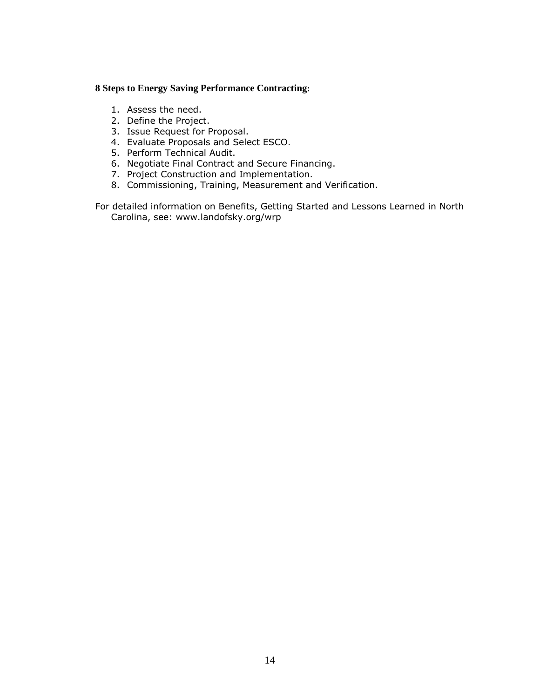#### **8 Steps to Energy Saving Performance Contracting:**

- 1. Assess the need.
- 2. Define the Project.
- 3. Issue Request for Proposal.
- 4. Evaluate Proposals and Select ESCO.
- 5. Perform Technical Audit.
- 6. Negotiate Final Contract and Secure Financing.
- 7. Project Construction and Implementation.
- 8. Commissioning, Training, Measurement and Verification.

For detailed information on Benefits, Getting Started and Lessons Learned in North Carolina, see: www.landofsky.org/wrp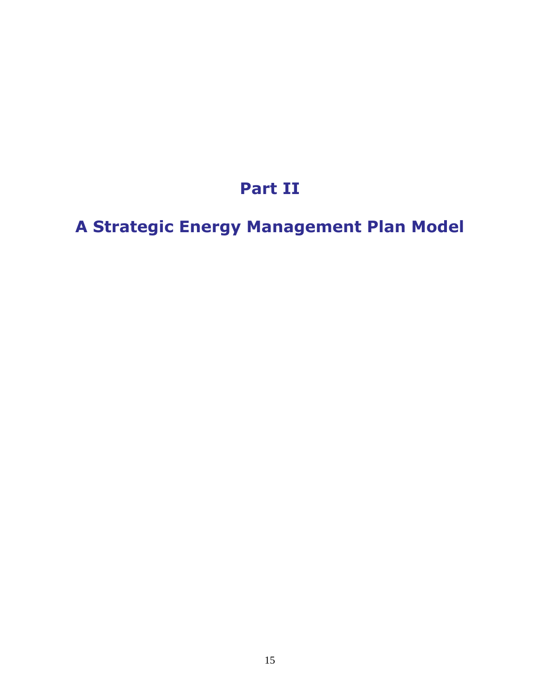# **Part II**

# **A Strategic Energy Management Plan Model**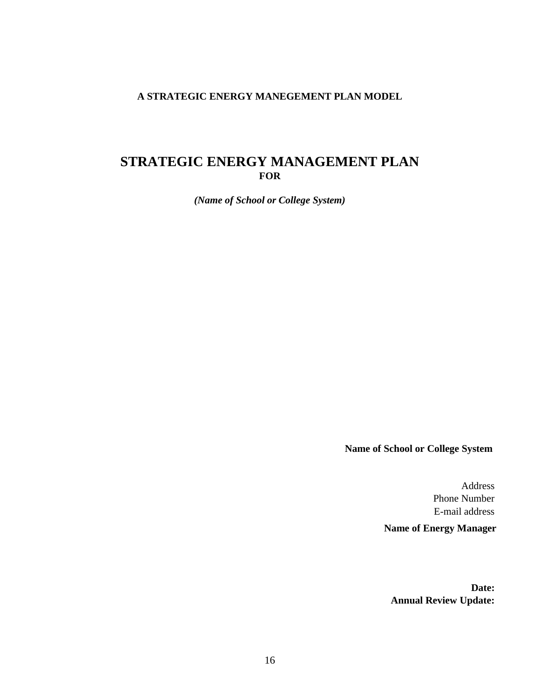#### **A STRATEGIC ENERGY MANEGEMENT PLAN MODEL**

### **STRATEGIC ENERGY MANAGEMENT PLAN FOR**

*(Name of School or College System)*

**Name of School or College System**

Address Phone Number E-mail address **Name of Energy Manager**

**Date: Annual Review Update:**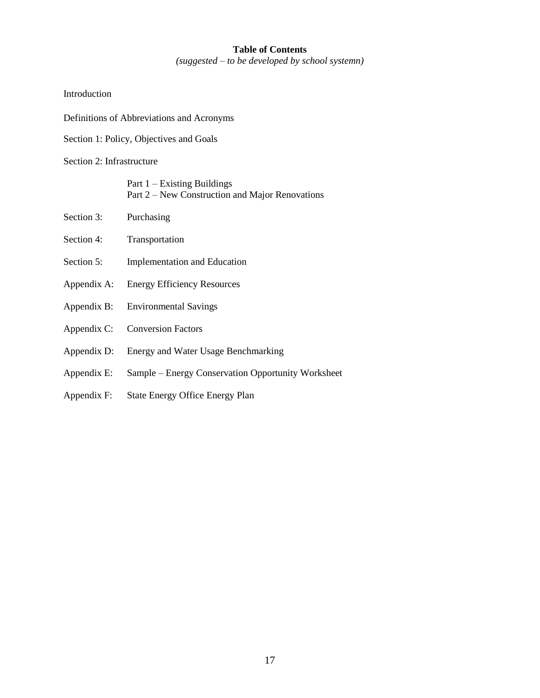#### **Table of Contents** *(suggested – to be developed by school systemn)*

#### Introduction

- Definitions of Abbreviations and Acronyms
- Section 1: Policy, Objectives and Goals

#### Section 2: Infrastructure

| Part 1 – Existing Buildings                     |
|-------------------------------------------------|
| Part 2 – New Construction and Major Renovations |

- Section 3: Purchasing
- Section 4: Transportation
- Section 5: **Implementation and Education**
- Appendix A: Energy Efficiency Resources
- Appendix B: Environmental Savings
- Appendix C: Conversion Factors
- Appendix D: Energy and Water Usage Benchmarking
- Appendix E: Sample Energy Conservation Opportunity Worksheet
- Appendix F: State Energy Office Energy Plan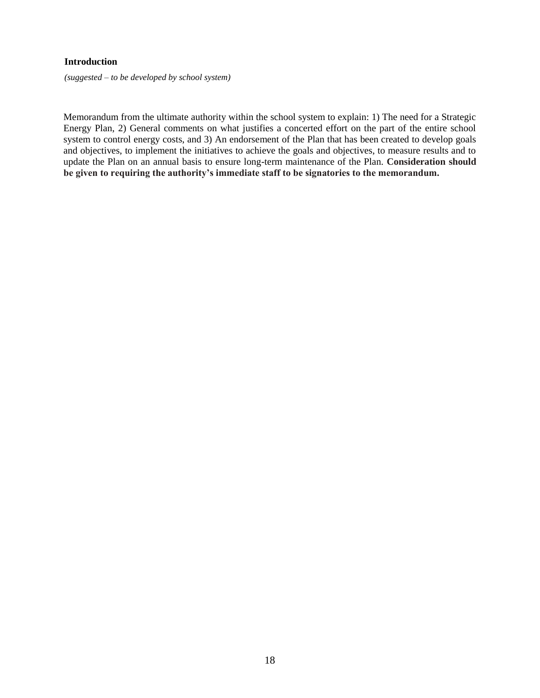#### **Introduction**

*(suggested – to be developed by school system)* 

Memorandum from the ultimate authority within the school system to explain: 1) The need for a Strategic Energy Plan, 2) General comments on what justifies a concerted effort on the part of the entire school system to control energy costs, and 3) An endorsement of the Plan that has been created to develop goals and objectives, to implement the initiatives to achieve the goals and objectives, to measure results and to update the Plan on an annual basis to ensure long-term maintenance of the Plan. **Consideration should be given to requiring the authority's immediate staff to be signatories to the memorandum.**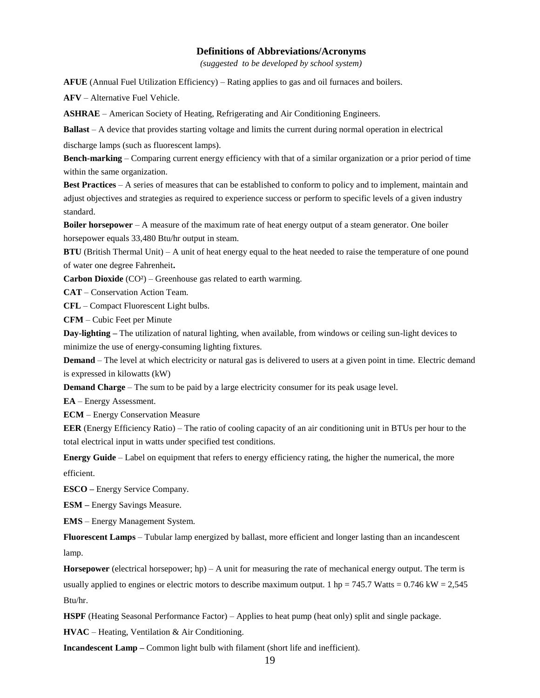#### **Definitions of Abbreviations/Acronyms**

*(suggested to be developed by school system)* 

**AFUE** (Annual Fuel Utilization Efficiency) – Rating applies to gas and oil furnaces and boilers.

**AFV** – Alternative Fuel Vehicle.

**ASHRAE** – American Society of Heating, Refrigerating and Air Conditioning Engineers.

**Ballast** – A device that provides starting voltage and limits the current during normal operation in electrical

discharge lamps (such as fluorescent lamps).

**Bench-marking** – Comparing current energy efficiency with that of a similar organization or a prior period of time within the same organization.

**Best Practices** – A series of measures that can be established to conform to policy and to implement, maintain and adjust objectives and strategies as required to experience success or perform to specific levels of a given industry standard.

**Boiler horsepower** – A measure of the maximum rate of heat energy output of a steam generator. One boiler horsepower equals 33,480 Btu/hr output in steam.

**BTU** (British Thermal Unit) – A unit of heat energy equal to the heat needed to raise the temperature of one pound of water one degree Fahrenheit**.** 

**Carbon Dioxide** (CO²) – Greenhouse gas related to earth warming.

**CAT** – Conservation Action Team.

**CFL** – Compact Fluorescent Light bulbs.

**CFM** – Cubic Feet per Minute

**Day-lighting –** The utilization of natural lighting, when available, from windows or ceiling sun-light devices to minimize the use of energy-consuming lighting fixtures.

**Demand** – The level at which electricity or natural gas is delivered to users at a given point in time. Electric demand is expressed in kilowatts (kW)

**Demand Charge** – The sum to be paid by a large electricity consumer for its peak usage level.

**EA** – Energy Assessment.

**ECM** – Energy Conservation Measure

**EER** (Energy Efficiency Ratio) – The ratio of cooling capacity of an air conditioning unit in BTUs per hour to the total electrical input in watts under specified test conditions.

**Energy Guide** – Label on equipment that refers to energy efficiency rating, the higher the numerical, the more efficient.

**ESCO –** Energy Service Company.

**ESM –** Energy Savings Measure.

**EMS** – Energy Management System.

**Fluorescent Lamps** – Tubular lamp energized by ballast, more efficient and longer lasting than an incandescent lamp.

**Horsepower** (electrical horsepower; hp) – A unit for measuring the rate of mechanical energy output. The term is usually applied to engines or electric motors to describe maximum output. 1 hp = 745.7 Watts =  $0.746 \text{ kW} = 2,545$ Btu/hr.

**HSPF** (Heating Seasonal Performance Factor) – Applies to heat pump (heat only) split and single package.

**HVAC** – Heating, Ventilation & Air Conditioning.

**Incandescent Lamp –** Common light bulb with filament (short life and inefficient).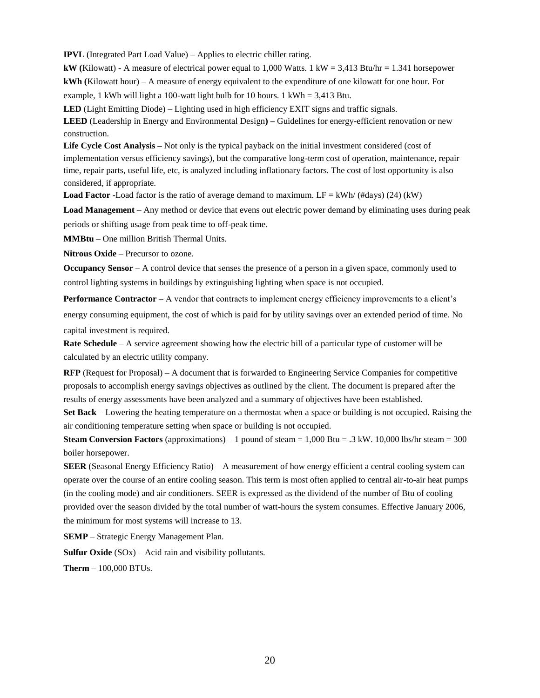**IPVL** (Integrated Part Load Value) – Applies to electric chiller rating.

**kW (**Kilowatt) - A measure of electrical power equal to 1,000 Watts. 1 kW = 3,413 Btu/hr = 1.341 horsepower **kWh (**Kilowatt hour) – A measure of energy equivalent to the expenditure of one kilowatt for one hour. For example, 1 kWh will light a 100-watt light bulb for 10 hours. 1 kWh =  $3,413$  Btu.

**LED** (Light Emitting Diode) – Lighting used in high efficiency EXIT signs and traffic signals.

**LEED** (Leadership in Energy and Environmental Design**) –** Guidelines for energy-efficient renovation or new construction.

**Life Cycle Cost Analysis –** Not only is the typical payback on the initial investment considered (cost of implementation versus efficiency savings), but the comparative long-term cost of operation, maintenance, repair time, repair parts, useful life, etc, is analyzed including inflationary factors. The cost of lost opportunity is also considered, if appropriate.

**Load Factor -**Load factor is the ratio of average demand to maximum. LF =  $kWh/(Hdays)$  (24) (kW)

**Load Management** – Any method or device that evens out electric power demand by eliminating uses during peak periods or shifting usage from peak time to off-peak time.

**MMBtu** – One million British Thermal Units.

**Nitrous Oxide** – Precursor to ozone.

**Occupancy Sensor** – A control device that senses the presence of a person in a given space, commonly used to control lighting systems in buildings by extinguishing lighting when space is not occupied.

**Performance Contractor** – A vendor that contracts to implement energy efficiency improvements to a client's energy consuming equipment, the cost of which is paid for by utility savings over an extended period of time. No capital investment is required.

**Rate Schedule** – A service agreement showing how the electric bill of a particular type of customer will be calculated by an electric utility company.

**RFP** (Request for Proposal) – A document that is forwarded to Engineering Service Companies for competitive proposals to accomplish energy savings objectives as outlined by the client. The document is prepared after the results of energy assessments have been analyzed and a summary of objectives have been established.

**Set Back** – Lowering the heating temperature on a thermostat when a space or building is not occupied. Raising the air conditioning temperature setting when space or building is not occupied.

**Steam Conversion Factors** (approximations) – 1 pound of steam  $= 1,000$  Btu  $= .3$  kW. 10,000 lbs/hr steam  $= 300$ boiler horsepower.

**SEER** (Seasonal Energy Efficiency Ratio) – A measurement of how energy efficient a central cooling system can operate over the course of an entire cooling season. This term is most often applied to central air-to-air heat pumps (in the cooling mode) and air conditioners. SEER is expressed as the dividend of the number of Btu of cooling provided over the season divided by the total number of watt-hours the system consumes. Effective January 2006, the minimum for most systems will increase to 13.

**SEMP** – Strategic Energy Management Plan.

**Sulfur Oxide** (SOx) – Acid rain and visibility pollutants.

**Therm** – 100,000 BTUs.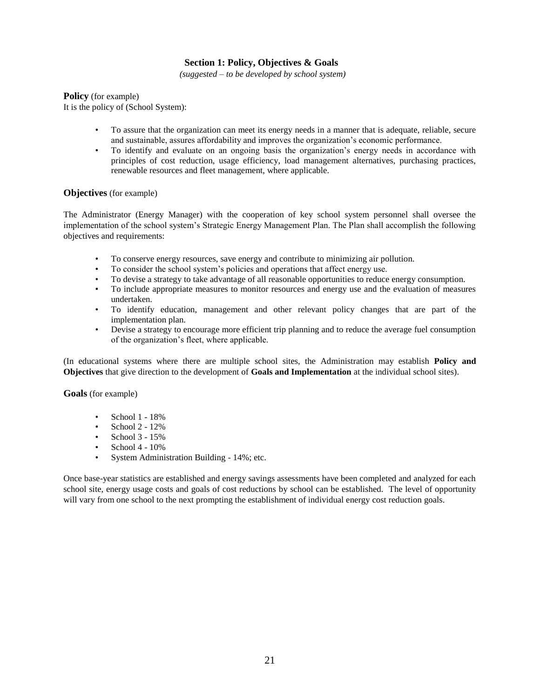#### **Section 1: Policy, Objectives & Goals**

*(suggested – to be developed by school system)* 

**Policy** (for example)

It is the policy of (School System):

- To assure that the organization can meet its energy needs in a manner that is adequate, reliable, secure and sustainable, assures affordability and improves the organization's economic performance.
- To identify and evaluate on an ongoing basis the organization's energy needs in accordance with principles of cost reduction, usage efficiency, load management alternatives, purchasing practices, renewable resources and fleet management, where applicable.

#### **Objectives** (for example)

The Administrator (Energy Manager) with the cooperation of key school system personnel shall oversee the implementation of the school system's Strategic Energy Management Plan. The Plan shall accomplish the following objectives and requirements:

- To conserve energy resources, save energy and contribute to minimizing air pollution.
- To consider the school system's policies and operations that affect energy use.
- To devise a strategy to take advantage of all reasonable opportunities to reduce energy consumption.
- To include appropriate measures to monitor resources and energy use and the evaluation of measures undertaken.
- To identify education, management and other relevant policy changes that are part of the implementation plan.
- Devise a strategy to encourage more efficient trip planning and to reduce the average fuel consumption of the organization's fleet, where applicable.

(In educational systems where there are multiple school sites, the Administration may establish **Policy and Objectives** that give direction to the development of **Goals and Implementation** at the individual school sites).

**Goals** (for example)

- School 1 18%
- School  $2 12\%$
- School  $3 15%$
- School 4 10%
- System Administration Building 14%; etc.

Once base-year statistics are established and energy savings assessments have been completed and analyzed for each school site, energy usage costs and goals of cost reductions by school can be established. The level of opportunity will vary from one school to the next prompting the establishment of individual energy cost reduction goals.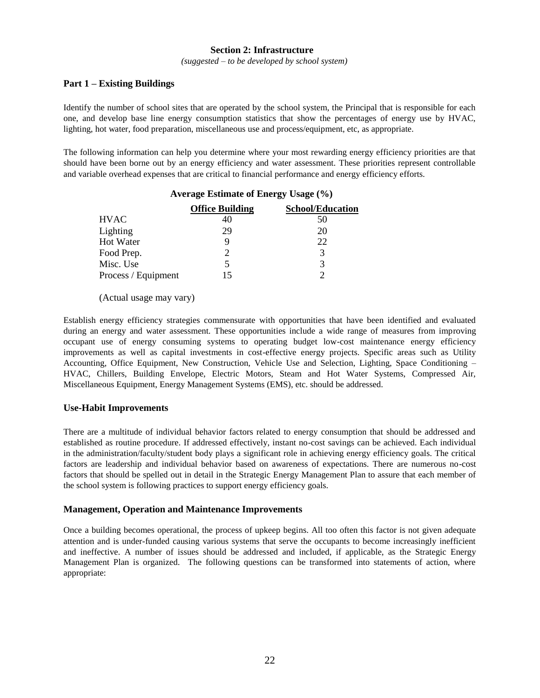#### **Section 2: Infrastructure**

*(suggested – to be developed by school system)* 

#### **Part 1 – Existing Buildings**

Identify the number of school sites that are operated by the school system, the Principal that is responsible for each one, and develop base line energy consumption statistics that show the percentages of energy use by HVAC, lighting, hot water, food preparation, miscellaneous use and process/equipment, etc, as appropriate.

The following information can help you determine where your most rewarding energy efficiency priorities are that should have been borne out by an energy efficiency and water assessment. These priorities represent controllable and variable overhead expenses that are critical to financial performance and energy efficiency efforts.

|                     | <b>Average Estimate of Energy Usage (%)</b> |                         |  |  |
|---------------------|---------------------------------------------|-------------------------|--|--|
|                     | <b>Office Building</b>                      | <b>School/Education</b> |  |  |
| <b>HVAC</b>         | 40                                          | 50                      |  |  |
| Lighting            | 29                                          | 20                      |  |  |
| Hot Water           |                                             | 22                      |  |  |
| Food Prep.          |                                             | 3                       |  |  |
| Misc. Use           |                                             | 3                       |  |  |
| Process / Equipment | 15                                          |                         |  |  |

(Actual usage may vary)

Establish energy efficiency strategies commensurate with opportunities that have been identified and evaluated during an energy and water assessment. These opportunities include a wide range of measures from improving occupant use of energy consuming systems to operating budget low-cost maintenance energy efficiency improvements as well as capital investments in cost-effective energy projects. Specific areas such as Utility Accounting, Office Equipment, New Construction, Vehicle Use and Selection, Lighting, Space Conditioning – HVAC, Chillers, Building Envelope, Electric Motors, Steam and Hot Water Systems, Compressed Air, Miscellaneous Equipment, Energy Management Systems (EMS), etc. should be addressed.

#### **Use-Habit Improvements**

There are a multitude of individual behavior factors related to energy consumption that should be addressed and established as routine procedure. If addressed effectively, instant no-cost savings can be achieved. Each individual in the administration/faculty/student body plays a significant role in achieving energy efficiency goals. The critical factors are leadership and individual behavior based on awareness of expectations. There are numerous no-cost factors that should be spelled out in detail in the Strategic Energy Management Plan to assure that each member of the school system is following practices to support energy efficiency goals.

#### **Management, Operation and Maintenance Improvements**

Once a building becomes operational, the process of upkeep begins. All too often this factor is not given adequate attention and is under-funded causing various systems that serve the occupants to become increasingly inefficient and ineffective. A number of issues should be addressed and included, if applicable, as the Strategic Energy Management Plan is organized. The following questions can be transformed into statements of action, where appropriate: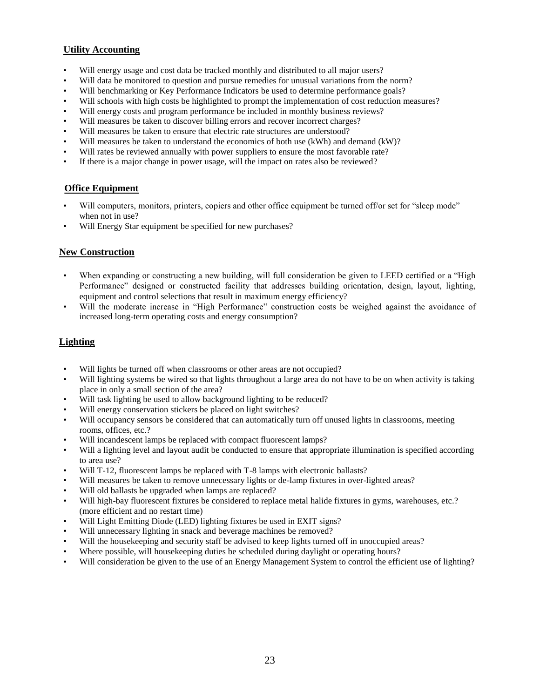#### **Utility Accounting**

- Will energy usage and cost data be tracked monthly and distributed to all major users?
- Will data be monitored to question and pursue remedies for unusual variations from the norm?
- Will benchmarking or Key Performance Indicators be used to determine performance goals?
- Will schools with high costs be highlighted to prompt the implementation of cost reduction measures?
- Will energy costs and program performance be included in monthly business reviews?
- Will measures be taken to discover billing errors and recover incorrect charges?
- Will measures be taken to ensure that electric rate structures are understood?
- Will measures be taken to understand the economics of both use (kWh) and demand (kW)?
- Will rates be reviewed annually with power suppliers to ensure the most favorable rate?
- If there is a major change in power usage, will the impact on rates also be reviewed?

#### **Office Equipment**

- Will computers, monitors, printers, copiers and other office equipment be turned off/or set for "sleep mode" when not in use?
- Will Energy Star equipment be specified for new purchases?

#### **New Construction**

- When expanding or constructing a new building, will full consideration be given to LEED certified or a "High Performance" designed or constructed facility that addresses building orientation, design, layout, lighting, equipment and control selections that result in maximum energy efficiency?
- Will the moderate increase in "High Performance" construction costs be weighed against the avoidance of increased long-term operating costs and energy consumption?

#### **Lighting**

- Will lights be turned off when classrooms or other areas are not occupied?
- Will lighting systems be wired so that lights throughout a large area do not have to be on when activity is taking place in only a small section of the area?
- Will task lighting be used to allow background lighting to be reduced?
- Will energy conservation stickers be placed on light switches?
- Will occupancy sensors be considered that can automatically turn off unused lights in classrooms, meeting rooms, offices, etc.?
- Will incandescent lamps be replaced with compact fluorescent lamps?
- Will a lighting level and layout audit be conducted to ensure that appropriate illumination is specified according to area use?
- Will T-12, fluorescent lamps be replaced with T-8 lamps with electronic ballasts?
- Will measures be taken to remove unnecessary lights or de-lamp fixtures in over-lighted areas?
- Will old ballasts be upgraded when lamps are replaced?
- Will high-bay fluorescent fixtures be considered to replace metal halide fixtures in gyms, warehouses, etc.? (more efficient and no restart time)
- Will Light Emitting Diode (LED) lighting fixtures be used in EXIT signs?
- Will unnecessary lighting in snack and beverage machines be removed?
- Will the house keeping and security staff be advised to keep lights turned off in unoccupied areas?
- Where possible, will housekeeping duties be scheduled during daylight or operating hours?
- Will consideration be given to the use of an Energy Management System to control the efficient use of lighting?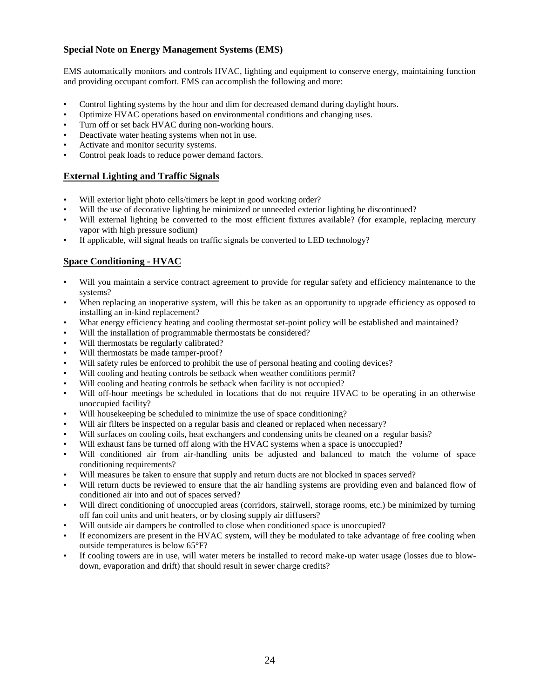#### **Special Note on Energy Management Systems (EMS)**

EMS automatically monitors and controls HVAC, lighting and equipment to conserve energy, maintaining function and providing occupant comfort. EMS can accomplish the following and more:

- Control lighting systems by the hour and dim for decreased demand during daylight hours.
- Optimize HVAC operations based on environmental conditions and changing uses.
- Turn off or set back HVAC during non-working hours.
- Deactivate water heating systems when not in use.
- Activate and monitor security systems.
- Control peak loads to reduce power demand factors.

#### **External Lighting and Traffic Signals**

- Will exterior light photo cells/timers be kept in good working order?
- Will the use of decorative lighting be minimized or unneeded exterior lighting be discontinued?
- Will external lighting be converted to the most efficient fixtures available? (for example, replacing mercury vapor with high pressure sodium)
- If applicable, will signal heads on traffic signals be converted to LED technology?

#### **Space Conditioning - HVAC**

- Will you maintain a service contract agreement to provide for regular safety and efficiency maintenance to the systems?
- When replacing an inoperative system, will this be taken as an opportunity to upgrade efficiency as opposed to installing an in-kind replacement?
- What energy efficiency heating and cooling thermostat set-point policy will be established and maintained?
- Will the installation of programmable thermostats be considered?
- Will thermostats be regularly calibrated?
- Will thermostats be made tamper-proof?
- Will safety rules be enforced to prohibit the use of personal heating and cooling devices?
- Will cooling and heating controls be setback when weather conditions permit?
- Will cooling and heating controls be setback when facility is not occupied?
- Will off-hour meetings be scheduled in locations that do not require HVAC to be operating in an otherwise unoccupied facility?
- Will house keeping be scheduled to minimize the use of space conditioning?
- Will air filters be inspected on a regular basis and cleaned or replaced when necessary?
- Will surfaces on cooling coils, heat exchangers and condensing units be cleaned on a regular basis?
- Will exhaust fans be turned off along with the HVAC systems when a space is unoccupied?
- Will conditioned air from air-handling units be adjusted and balanced to match the volume of space conditioning requirements?
- Will measures be taken to ensure that supply and return ducts are not blocked in spaces served?
- Will return ducts be reviewed to ensure that the air handling systems are providing even and balanced flow of conditioned air into and out of spaces served?
- Will direct conditioning of unoccupied areas (corridors, stairwell, storage rooms, etc.) be minimized by turning off fan coil units and unit heaters, or by closing supply air diffusers?
- Will outside air dampers be controlled to close when conditioned space is unoccupied?
- If economizers are present in the HVAC system, will they be modulated to take advantage of free cooling when outside temperatures is below 65°F?
- If cooling towers are in use, will water meters be installed to record make-up water usage (losses due to blowdown, evaporation and drift) that should result in sewer charge credits?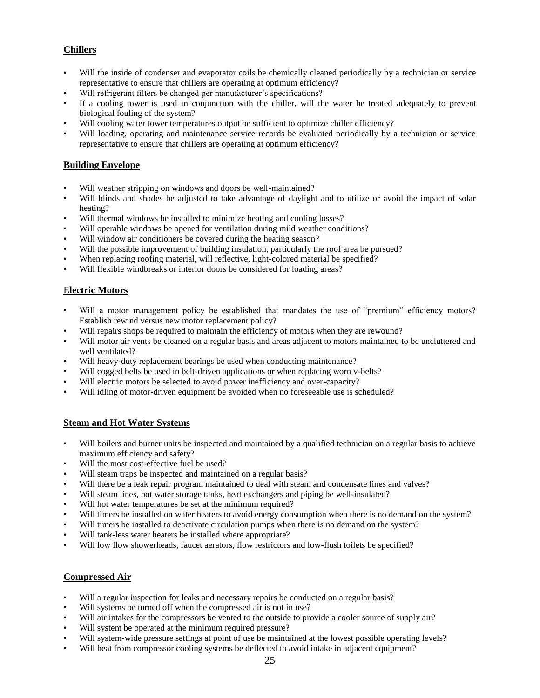#### **Chillers**

- Will the inside of condenser and evaporator coils be chemically cleaned periodically by a technician or service representative to ensure that chillers are operating at optimum efficiency?
- Will refrigerant filters be changed per manufacturer's specifications?
- If a cooling tower is used in conjunction with the chiller, will the water be treated adequately to prevent biological fouling of the system?
- Will cooling water tower temperatures output be sufficient to optimize chiller efficiency?
- Will loading, operating and maintenance service records be evaluated periodically by a technician or service representative to ensure that chillers are operating at optimum efficiency?

#### **Building Envelope**

- Will weather stripping on windows and doors be well-maintained?
- Will blinds and shades be adjusted to take advantage of daylight and to utilize or avoid the impact of solar heating?
- Will thermal windows be installed to minimize heating and cooling losses?
- Will operable windows be opened for ventilation during mild weather conditions?
- Will window air conditioners be covered during the heating season?
- Will the possible improvement of building insulation, particularly the roof area be pursued?
- When replacing roofing material, will reflective, light-colored material be specified?
- Will flexible windbreaks or interior doors be considered for loading areas?

#### E**lectric Motors**

- Will a motor management policy be established that mandates the use of "premium" efficiency motors? Establish rewind versus new motor replacement policy?
- Will repairs shops be required to maintain the efficiency of motors when they are rewound?
- Will motor air vents be cleaned on a regular basis and areas adjacent to motors maintained to be uncluttered and well ventilated?
- Will heavy-duty replacement bearings be used when conducting maintenance?
- Will cogged belts be used in belt-driven applications or when replacing worn v-belts?
- Will electric motors be selected to avoid power inefficiency and over-capacity?
- Will idling of motor-driven equipment be avoided when no foreseeable use is scheduled?

#### **Steam and Hot Water Systems**

- Will boilers and burner units be inspected and maintained by a qualified technician on a regular basis to achieve maximum efficiency and safety?
- Will the most cost-effective fuel be used?
- Will steam traps be inspected and maintained on a regular basis?
- Will there be a leak repair program maintained to deal with steam and condensate lines and valves?
- Will steam lines, hot water storage tanks, heat exchangers and piping be well-insulated?
- Will hot water temperatures be set at the minimum required?
- Will timers be installed on water heaters to avoid energy consumption when there is no demand on the system?
- Will timers be installed to deactivate circulation pumps when there is no demand on the system?
- Will tank-less water heaters be installed where appropriate?
- Will low flow showerheads, faucet aerators, flow restrictors and low-flush toilets be specified?

#### **Compressed Air**

- Will a regular inspection for leaks and necessary repairs be conducted on a regular basis?
- Will systems be turned off when the compressed air is not in use?
- Will air intakes for the compressors be vented to the outside to provide a cooler source of supply air?
- Will system be operated at the minimum required pressure?
- Will system-wide pressure settings at point of use be maintained at the lowest possible operating levels?
- Will heat from compressor cooling systems be deflected to avoid intake in adjacent equipment?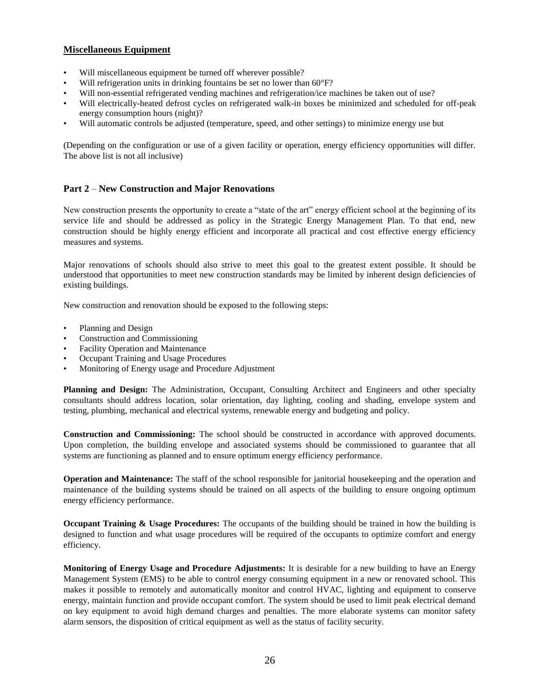#### **Miscellaneous Equipment**

- Will miscellaneous equipment be turned off wherever possible?
- Will refrigeration units in drinking fountains be set no lower than 60°F?
- Will non-essential refrigerated vending machines and refrigeration/ice machines be taken out of use?
- Will electrically-heated defrost cycles on refrigerated walk-in boxes be minimized and scheduled for off-peak energy consumption hours (night)?
- Will automatic controls be adjusted (temperature, speed, and other settings) to minimize energy use but

(Depending on the configuration or use of a given facility or operation, energy efficiency opportunities will differ. The above list is not all inclusive)

#### **Part 2** – **New Construction and Major Renovations**

New construction presents the opportunity to create a "state of the art" energy efficient school at the beginning of its service life and should be addressed as policy in the Strategic Energy Management Plan. To that end, new construction should be highly energy efficient and incorporate all practical and cost effective energy efficiency measures and systems.

Major renovations of schools should also strive to meet this goal to the greatest extent possible. It should be understood that opportunities to meet new construction standards may be limited by inherent design deficiencies of existing buildings.

New construction and renovation should be exposed to the following steps:

- Planning and Design
- Construction and Commissioning
- Facility Operation and Maintenance
- Occupant Training and Usage Procedures
- Monitoring of Energy usage and Procedure Adjustment

**Planning and Design:** The Administration, Occupant, Consulting Architect and Engineers and other specialty consultants should address location, solar orientation, day lighting, cooling and shading, envelope system and testing, plumbing, mechanical and electrical systems, renewable energy and budgeting and policy.

**Construction and Commissioning:** The school should be constructed in accordance with approved documents. Upon completion, the building envelope and associated systems should be commissioned to guarantee that all systems are functioning as planned and to ensure optimum energy efficiency performance.

**Operation and Maintenance:** The staff of the school responsible for janitorial housekeeping and the operation and maintenance of the building systems should be trained on all aspects of the building to ensure ongoing optimum energy efficiency performance.

**Occupant Training & Usage Procedures:** The occupants of the building should be trained in how the building is designed to function and what usage procedures will be required of the occupants to optimize comfort and energy efficiency.

**Monitoring of Energy Usage and Procedure Adjustments:** It is desirable for a new building to have an Energy Management System (EMS) to be able to control energy consuming equipment in a new or renovated school. This makes it possible to remotely and automatically monitor and control HVAC, lighting and equipment to conserve energy, maintain function and provide occupant comfort. The system should be used to limit peak electrical demand on key equipment to avoid high demand charges and penalties. The more elaborate systems can monitor safety alarm sensors, the disposition of critical equipment as well as the status of facility security.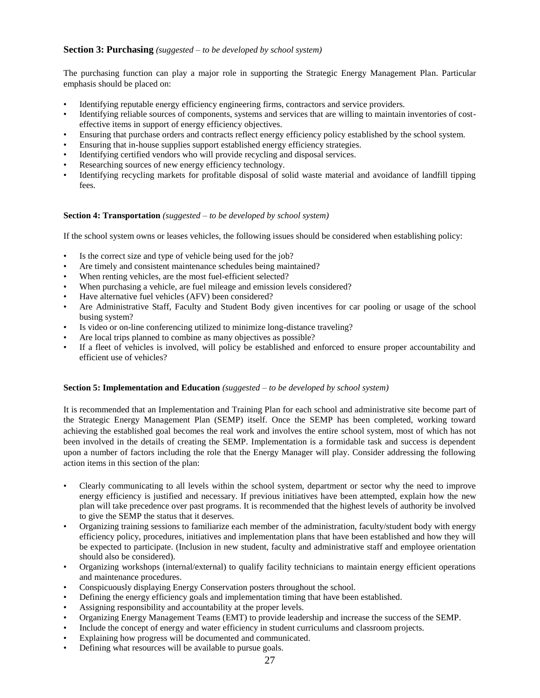#### **Section 3: Purchasing** *(suggested – to be developed by school system)*

The purchasing function can play a major role in supporting the Strategic Energy Management Plan. Particular emphasis should be placed on:

- Identifying reputable energy efficiency engineering firms, contractors and service providers.
- Identifying reliable sources of components, systems and services that are willing to maintain inventories of costeffective items in support of energy efficiency objectives.
- Ensuring that purchase orders and contracts reflect energy efficiency policy established by the school system.
- Ensuring that in-house supplies support established energy efficiency strategies.
- Identifying certified vendors who will provide recycling and disposal services.
- Researching sources of new energy efficiency technology.
- Identifying recycling markets for profitable disposal of solid waste material and avoidance of landfill tipping fees.

#### **Section 4: Transportation** *(suggested – to be developed by school system)*

If the school system owns or leases vehicles, the following issues should be considered when establishing policy:

- Is the correct size and type of vehicle being used for the job?
- Are timely and consistent maintenance schedules being maintained?
- When renting vehicles, are the most fuel-efficient selected?
- When purchasing a vehicle, are fuel mileage and emission levels considered?
- Have alternative fuel vehicles (AFV) been considered?
- Are Administrative Staff, Faculty and Student Body given incentives for car pooling or usage of the school busing system?
- Is video or on-line conferencing utilized to minimize long-distance traveling?
- Are local trips planned to combine as many objectives as possible?
- If a fleet of vehicles is involved, will policy be established and enforced to ensure proper accountability and efficient use of vehicles?

#### **Section 5: Implementation and Education** *(suggested – to be developed by school system)*

It is recommended that an Implementation and Training Plan for each school and administrative site become part of the Strategic Energy Management Plan (SEMP) itself. Once the SEMP has been completed, working toward achieving the established goal becomes the real work and involves the entire school system, most of which has not been involved in the details of creating the SEMP. Implementation is a formidable task and success is dependent upon a number of factors including the role that the Energy Manager will play. Consider addressing the following action items in this section of the plan:

- Clearly communicating to all levels within the school system, department or sector why the need to improve energy efficiency is justified and necessary. If previous initiatives have been attempted, explain how the new plan will take precedence over past programs. It is recommended that the highest levels of authority be involved to give the SEMP the status that it deserves.
- Organizing training sessions to familiarize each member of the administration, faculty/student body with energy efficiency policy, procedures, initiatives and implementation plans that have been established and how they will be expected to participate. (Inclusion in new student, faculty and administrative staff and employee orientation should also be considered).
- Organizing workshops (internal/external) to qualify facility technicians to maintain energy efficient operations and maintenance procedures.
- Conspicuously displaying Energy Conservation posters throughout the school.
- Defining the energy efficiency goals and implementation timing that have been established.
- Assigning responsibility and accountability at the proper levels.
- Organizing Energy Management Teams (EMT) to provide leadership and increase the success of the SEMP.
- Include the concept of energy and water efficiency in student curriculums and classroom projects.
- Explaining how progress will be documented and communicated.
- Defining what resources will be available to pursue goals.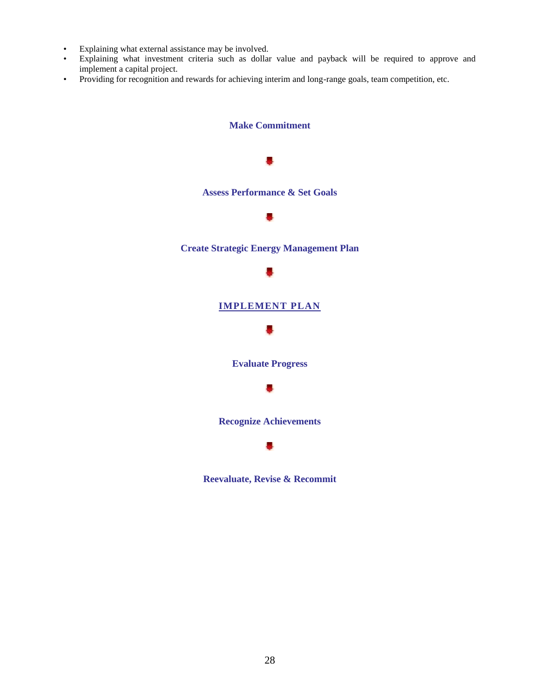- Explaining what external assistance may be involved.
- Explaining what investment criteria such as dollar value and payback will be required to approve and implement a capital project.
- Providing for recognition and rewards for achieving interim and long-range goals, team competition, etc.



**Reevaluate, Revise & Recommit**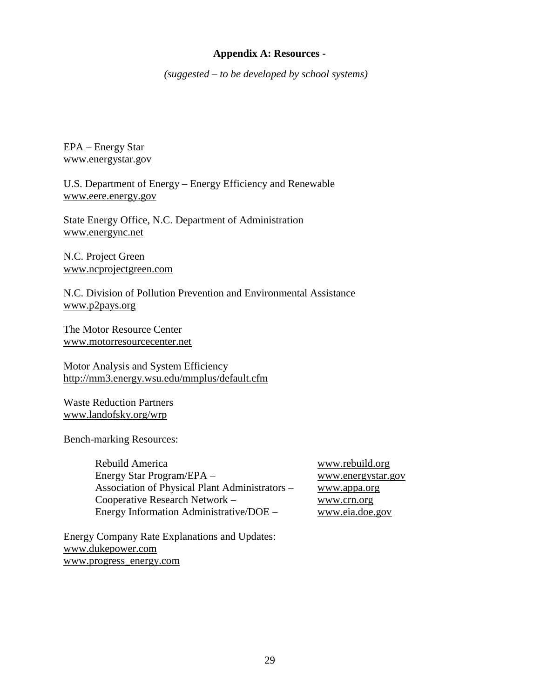#### **Appendix A: Resources -**

*(suggested – to be developed by school systems)*

EPA – Energy Star [www.energystar.gov](http://www.energystar.gov/)

U.S. Department of Energy – Energy Efficiency and Renewable [www.eere.energy.gov](http://www.energy.gov/efficiency/index.html)

State Energy Office, N.C. Department of Administration [www.energync.net](http://www.energync.net/)

N.C. Project Green [www.ncprojectgreen.com](http://www.ncprojectgreen.com/)

N.C. Division of Pollution Prevention and Environmental Assistance [www.p2pays.org](http://www.p2pays.org/)

The Motor Resource Center [www.motorresourcecenter.net](http://www.motorresourcecenter.net/)

Motor Analysis and System Efficiency <http://mm3.energy.wsu.edu/mmplus/default.cfm>

Waste Reduction Partners [www.landofsky.org/wrp](http://www.landofsky.org/wrp)

Bench-marking Resources:

Rebuild America www.rebuild.org Energy Star Program/EPA – www.energystar.gov Association of Physical Plant Administrators – www.appa.org Cooperative Research Network – www.crn.org Energy Information Administrative/DOE – [www.eia.doe.gov](http://www.eia.doe.gov/)

Energy Company Rate Explanations and Updates: [www.dukepower.com](http://www.dukepower.com/) [www.progress\\_energy.com](http://www.progress_energy.com/)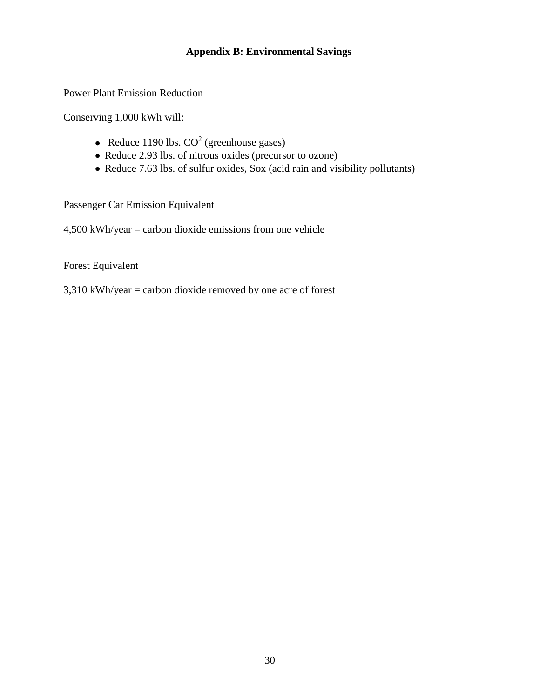#### **Appendix B: Environmental Savings**

Power Plant Emission Reduction

Conserving 1,000 kWh will:

- Reduce 1190 lbs.  $CO<sup>2</sup>$  (greenhouse gases)
- Reduce 2.93 lbs. of nitrous oxides (precursor to ozone)
- Reduce 7.63 lbs. of sulfur oxides, Sox (acid rain and visibility pollutants)

Passenger Car Emission Equivalent

4,500 kWh/year = carbon dioxide emissions from one vehicle

Forest Equivalent

3,310 kWh/year = carbon dioxide removed by one acre of forest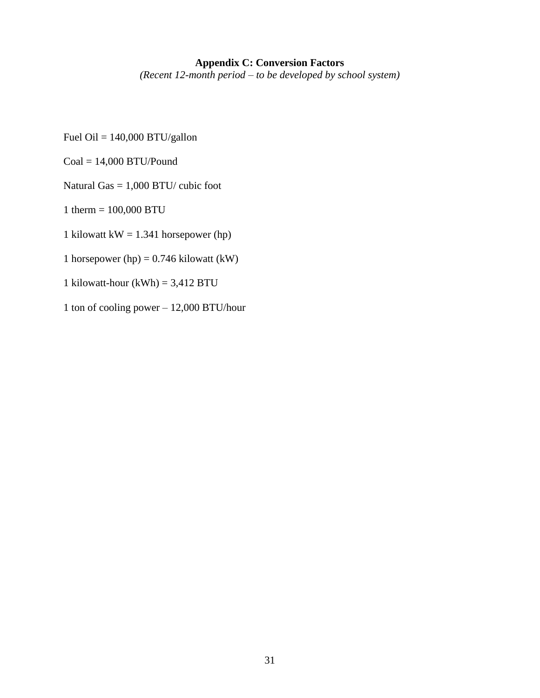#### **Appendix C: Conversion Factors**

*(Recent 12-month period – to be developed by school system)*

- Fuel Oil = 140,000 BTU/gallon
- $Coal = 14,000$  BTU/Pound
- Natural Gas = 1,000 BTU/ cubic foot
- 1 therm = 100,000 BTU
- 1 kilowatt kW =  $1.341$  horsepower (hp)
- 1 horsepower (hp) =  $0.746$  kilowatt (kW)
- 1 kilowatt-hour  $(kWh) = 3,412$  BTU
- 1 ton of cooling power 12,000 BTU/hour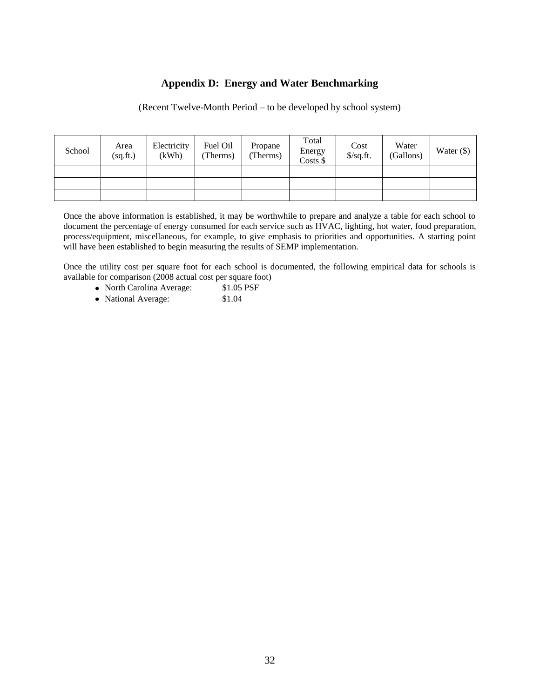#### **Appendix D: Energy and Water Benchmarking**

(Recent Twelve-Month Period – to be developed by school system)

| School | Area<br>(sq.fit.) | Electricity<br>(kWh) | Fuel Oil<br>(Therms) | Propane<br>(Therms) | Total<br>Energy<br>Costs \$ | Cost<br>$\sqrt{$}$ /sq.ft. | Water<br>(Gallons) | Water $(\$)$ |
|--------|-------------------|----------------------|----------------------|---------------------|-----------------------------|----------------------------|--------------------|--------------|
|        |                   |                      |                      |                     |                             |                            |                    |              |
|        |                   |                      |                      |                     |                             |                            |                    |              |
|        |                   |                      |                      |                     |                             |                            |                    |              |

Once the above information is established, it may be worthwhile to prepare and analyze a table for each school to document the percentage of energy consumed for each service such as HVAC, lighting, hot water, food preparation, process/equipment, miscellaneous, for example, to give emphasis to priorities and opportunities. A starting point will have been established to begin measuring the results of SEMP implementation.

Once the utility cost per square foot for each school is documented, the following empirical data for schools is available for comparison (2008 actual cost per square foot)

- North Carolina Average: \$1.05 PSF
- National Average: \$1.04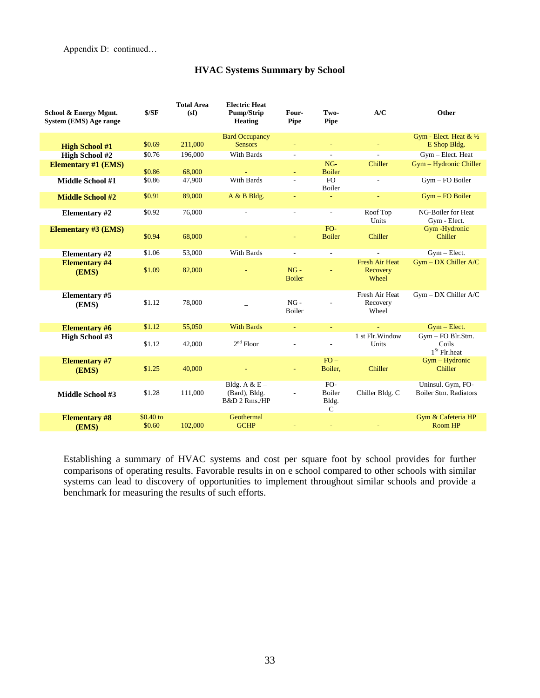Appendix D: continued…

#### **HVAC Systems Summary by School**

| School & Energy Mgmt.<br>System (EMS) Age range | \$/SF                | <b>Total Area</b><br>(sf) | <b>Electric Heat</b><br>Pump/Strip<br><b>Heating</b> | Four-<br><b>Pipe</b>     | Two-<br>Pipe                           | A/C                                        | Other                                        |
|-------------------------------------------------|----------------------|---------------------------|------------------------------------------------------|--------------------------|----------------------------------------|--------------------------------------------|----------------------------------------------|
|                                                 |                      |                           | <b>Bard Occupancy</b>                                |                          |                                        |                                            | Gym - Elect. Heat & 1/2                      |
| <b>High School #1</b>                           | \$0.69               | 211,000                   | <b>Sensors</b>                                       | ÷,                       |                                        |                                            | E Shop Bldg.                                 |
| <b>High School #2</b>                           | \$0.76               | 196,000                   | With Bards                                           | $\overline{a}$           | ÷.                                     | $\mathcal{L}$                              | Gym - Elect. Heat                            |
| <b>Elementary #1 (EMS)</b>                      | \$0.86               | 68,000                    |                                                      |                          | $NG-$<br><b>Boiler</b>                 | Chiller                                    | Gym - Hydronic Chiller                       |
| Middle School #1                                | \$0.86               | 47,900                    | With Bards                                           | $\overline{a}$           | FO.<br>Boiler                          | ÷.                                         | Gym - FO Boiler                              |
| <b>Middle School #2</b>                         | \$0.91               | 89,000                    | A & B Bldg.                                          | $\blacksquare$           |                                        | $\equiv$                                   | Gym - FO Boiler                              |
| <b>Elementary #2</b>                            | \$0.92               | 76,000                    | ÷.                                                   | $\sim$                   | $\sim$                                 | Roof Top<br>Units                          | NG-Boiler for Heat<br>Gym - Elect.           |
| <b>Elementary #3 (EMS)</b>                      | \$0.94               | 68,000                    |                                                      | $\equiv$                 | $FO-$<br><b>Boiler</b>                 | Chiller                                    | Gym-Hydronic<br>Chiller                      |
| <b>Elementary #2</b>                            | \$1.06               | 53,000                    | With Bards                                           | $\overline{\phantom{a}}$ | $\sim$                                 | $\sim$                                     | $Gym - Elect.$                               |
| <b>Elementary #4</b><br>(EMS)                   | \$1.09               | 82,000                    |                                                      | $NG -$<br><b>Boiler</b>  | ÷                                      | <b>Fresh Air Heat</b><br>Recovery<br>Wheel | $Gym - DX$ Chiller $A/C$                     |
| <b>Elementary #5</b><br>(EMS)                   | \$1.12               | 78,000                    |                                                      | $NG -$<br>Boiler         |                                        | Fresh Air Heat<br>Recovery<br>Wheel        | $Gym - DX$ Chiller $A/C$                     |
| <b>Elementary #6</b>                            | \$1.12               | 55,050                    | <b>With Bards</b>                                    | $\Box$                   | ÷                                      |                                            | $Gym - Elect.$                               |
| <b>High School #3</b>                           | \$1.12               | 42,000                    | $2nd$ Floor                                          |                          | $\overline{a}$                         | 1 st Flr. Window<br>Units                  | Gym - FO Blr.Stm.<br>Coils<br>$1St$ Flr.heat |
| <b>Elementary #7</b><br>(EMS)                   | \$1.25               | 40,000                    |                                                      | $\blacksquare$           | $FO -$<br>Boiler,                      | Chiller                                    | $Gym - Hydronic$<br>Chiller                  |
| <b>Middle School #3</b>                         | \$1.28               | 111,000                   | Bldg. A & $E -$<br>(Bard), Bldg.<br>B&D 2 Rms./HP    |                          | FO-<br>Boiler<br>Bldg.<br>$\mathsf{C}$ | Chiller Bldg. C                            | Uninsul. Gym, FO-<br>Boiler Stm. Radiators   |
| <b>Elementary #8</b><br>(EMS)                   | $$0.40$ to<br>\$0.60 | 102,000                   | Geothermal<br><b>GCHP</b>                            |                          |                                        |                                            | Gym & Cafeteria HP<br>Room HP                |

Establishing a summary of HVAC systems and cost per square foot by school provides for further comparisons of operating results. Favorable results in on e school compared to other schools with similar systems can lead to discovery of opportunities to implement throughout similar schools and provide a benchmark for measuring the results of such efforts.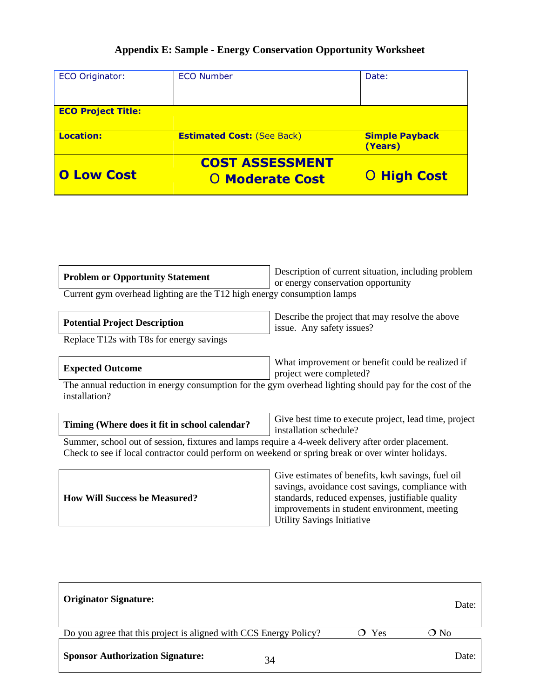### **Appendix E: Sample - Energy Conservation Opportunity Worksheet**

| <b>ECO Originator:</b>    | <b>ECO Number</b>                                | Date:                            |
|---------------------------|--------------------------------------------------|----------------------------------|
| <b>ECO Project Title:</b> |                                                  |                                  |
| <b>Location:</b>          | <b>Estimated Cost: (See Back)</b>                | <b>Simple Payback</b><br>(Years) |
| <b>O Low Cost</b>         | <b>COST ASSESSMENT</b><br><b>O Moderate Cost</b> | <b>O High Cost</b>               |

| <b>Problem or Opportunity Statement</b>                                                                  | Description of current situation, including problem |  |  |  |
|----------------------------------------------------------------------------------------------------------|-----------------------------------------------------|--|--|--|
| Current gym overhead lighting are the T12 high energy consumption lamps                                  | or energy conservation opportunity                  |  |  |  |
| Describe the project that may resolve the above<br><b>Potential Project Description</b><br>$\frac{1}{2}$ |                                                     |  |  |  |

| Potential Project Description | issue. Any safety issues? |
|-------------------------------|---------------------------|
| _____                         |                           |

Replace T12s with T8s for energy savings

What improvement or benefit could be realized if project were completed?

The annual reduction in energy consumption for the gym overhead lighting should pay for the cost of the installation?

| Timing (Where does it fit in school calendar?<br>installation schedule? | Give best time to execute project, lead time, project |
|-------------------------------------------------------------------------|-------------------------------------------------------|
|-------------------------------------------------------------------------|-------------------------------------------------------|

Summer, school out of session, fixtures and lamps require a 4-week delivery after order placement. Check to see if local contractor could perform on weekend or spring break or over winter holidays.

| <b>How Will Success be Measured?</b> | Give estimates of benefits, kwh savings, fuel oil<br>savings, avoidance cost savings, compliance with<br>standards, reduced expenses, justifiable quality<br>improvements in student environment, meeting<br><b>Utility Savings Initiative</b> |
|--------------------------------------|------------------------------------------------------------------------------------------------------------------------------------------------------------------------------------------------------------------------------------------------|
|--------------------------------------|------------------------------------------------------------------------------------------------------------------------------------------------------------------------------------------------------------------------------------------------|

| <b>Originator Signature:</b>                                      |     | Date: |
|-------------------------------------------------------------------|-----|-------|
| Do you agree that this project is aligned with CCS Energy Policy? | Yes | O No  |
| <b>Sponsor Authorization Signature:</b><br>34                     |     | Date: |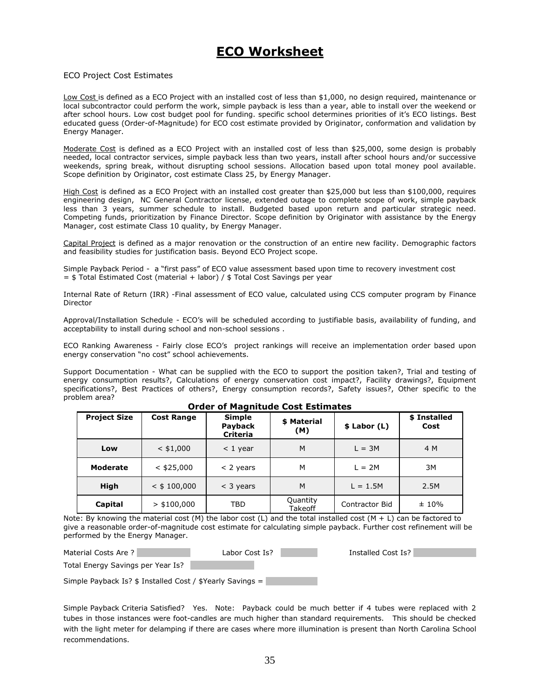### **ECO Worksheet**

#### ECO Project Cost Estimates

Low Cost is defined as a ECO Project with an installed cost of less than \$1,000, no design required, maintenance or local subcontractor could perform the work, simple payback is less than a year, able to install over the weekend or after school hours. Low cost budget pool for funding. specific school determines priorities of it's ECO listings. Best educated guess (Order-of-Magnitude) for ECO cost estimate provided by Originator, conformation and validation by Energy Manager.

Moderate Cost is defined as a ECO Project with an installed cost of less than \$25,000, some design is probably needed, local contractor services, simple payback less than two years, install after school hours and/or successive weekends, spring break, without disrupting school sessions. Allocation based upon total money pool available. Scope definition by Originator, cost estimate Class 25, by Energy Manager.

High Cost is defined as a ECO Project with an installed cost greater than \$25,000 but less than \$100,000, requires engineering design, NC General Contractor license, extended outage to complete scope of work, simple payback less than 3 years, summer schedule to install. Budgeted based upon return and particular strategic need. Competing funds, prioritization by Finance Director. Scope definition by Originator with assistance by the Energy Manager, cost estimate Class 10 quality, by Energy Manager.

Capital Project is defined as a major renovation or the construction of an entire new facility. Demographic factors and feasibility studies for justification basis. Beyond ECO Project scope.

Simple Payback Period - a "first pass" of ECO value assessment based upon time to recovery investment cost  $=$  \$ Total Estimated Cost (material + labor) / \$ Total Cost Savings per year

Internal Rate of Return (IRR) -Final assessment of ECO value, calculated using CCS computer program by Finance Director

Approval/Installation Schedule - ECO's will be scheduled according to justifiable basis, availability of funding, and acceptability to install during school and non-school sessions .

ECO Ranking Awareness - Fairly close ECO's project rankings will receive an implementation order based upon energy conservation "no cost" school achievements.

Support Documentation - What can be supplied with the ECO to support the position taken?, Trial and testing of energy consumption results?, Calculations of energy conservation cost impact?, Facility drawings?, Equipment specifications?, Best Practices of others?, Energy consumption records?, Safety issues?, Other specific to the problem area?

| <b>Project Size</b> | <b>Cost Range</b> | <b>Simple</b><br>Payback<br>Criteria | \$ Material<br>(M)  | $$$ Labor (L)  | \$ Installed<br>Cost |
|---------------------|-------------------|--------------------------------------|---------------------|----------------|----------------------|
| Low                 | $<$ \$1,000       | $<$ 1 year                           | M                   | $L = 3M$       | 4 M                  |
| <b>Moderate</b>     | $<$ \$25,000      | $<$ 2 years                          | М                   | $L = 2M$       | 3M                   |
| <b>High</b>         | $<$ \$ 100,000    | $<$ 3 years                          | M                   | $L = 1.5M$     | 2.5M                 |
| Capital             | $>$ \$100,000     | TBD                                  | Quantity<br>Takeoff | Contractor Bid | ±10%                 |

**Order of Magnitude Cost Estimates** 

Note: By knowing the material cost (M) the labor cost (L) and the total installed cost  $(M + L)$  can be factored to give a reasonable order-of-magnitude cost estimate for calculating simple payback. Further cost refinement will be performed by the Energy Manager.

Material Costs Are ? The Labor Cost Is? Installed Cost Is?

Total Energy Savings per Year Is?

Simple Payback Is? \$ Installed Cost / \$Yearly Savings =

Simple Payback Criteria Satisfied? Yes. Note: Payback could be much better if 4 tubes were replaced with 2 tubes in those instances were foot-candles are much higher than standard requirements. This should be checked with the light meter for delamping if there are cases where more illumination is present than North Carolina School recommendations.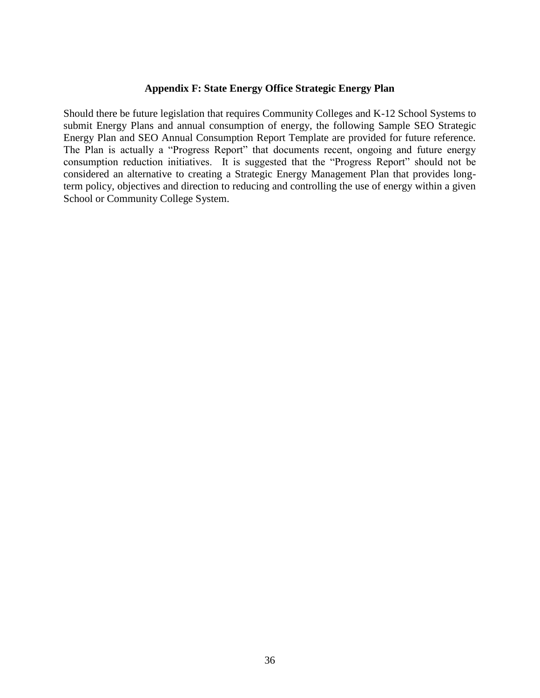#### **Appendix F: State Energy Office Strategic Energy Plan**

Should there be future legislation that requires Community Colleges and K-12 School Systems to submit Energy Plans and annual consumption of energy, the following Sample SEO Strategic Energy Plan and SEO Annual Consumption Report Template are provided for future reference. The Plan is actually a "Progress Report" that documents recent, ongoing and future energy consumption reduction initiatives. It is suggested that the "Progress Report" should not be considered an alternative to creating a Strategic Energy Management Plan that provides longterm policy, objectives and direction to reducing and controlling the use of energy within a given School or Community College System.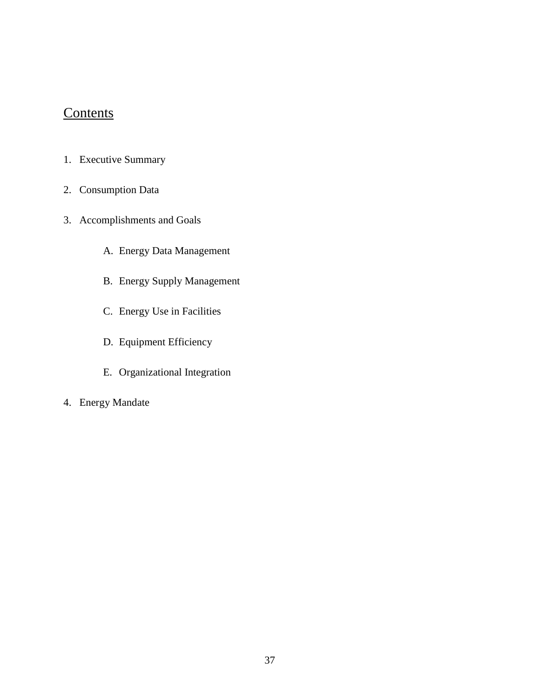## **Contents**

- 1. Executive Summary
- 2. Consumption Data
- 3. Accomplishments and Goals
	- A. Energy Data Management
	- B. Energy Supply Management
	- C. Energy Use in Facilities
	- D. Equipment Efficiency
	- E. Organizational Integration
- 4. Energy Mandate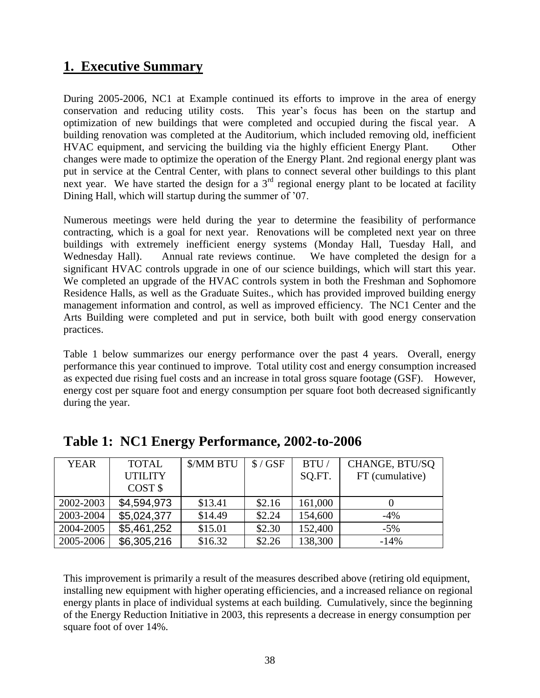### **1. Executive Summary**

During 2005-2006, NC1 at Example continued its efforts to improve in the area of energy conservation and reducing utility costs. This year's focus has been on the startup and optimization of new buildings that were completed and occupied during the fiscal year. A building renovation was completed at the Auditorium, which included removing old, inefficient HVAC equipment, and servicing the building via the highly efficient Energy Plant. Other changes were made to optimize the operation of the Energy Plant. 2nd regional energy plant was put in service at the Central Center, with plans to connect several other buildings to this plant next year. We have started the design for a  $3<sup>rd</sup>$  regional energy plant to be located at facility Dining Hall, which will startup during the summer of '07.

Numerous meetings were held during the year to determine the feasibility of performance contracting, which is a goal for next year. Renovations will be completed next year on three buildings with extremely inefficient energy systems (Monday Hall, Tuesday Hall, and Wednesday Hall). Annual rate reviews continue. We have completed the design for a significant HVAC controls upgrade in one of our science buildings, which will start this year. We completed an upgrade of the HVAC controls system in both the Freshman and Sophomore Residence Halls, as well as the Graduate Suites., which has provided improved building energy management information and control, as well as improved efficiency. The NC1 Center and the Arts Building were completed and put in service, both built with good energy conservation practices.

Table 1 below summarizes our energy performance over the past 4 years. Overall, energy performance this year continued to improve. Total utility cost and energy consumption increased as expected due rising fuel costs and an increase in total gross square footage (GSF). However, energy cost per square foot and energy consumption per square foot both decreased significantly during the year.

| <b>YEAR</b> | <b>TOTAL</b>       | \$/MM BTU | $$/$ GSF | BTU/    | CHANGE, BTU/SQ  |
|-------------|--------------------|-----------|----------|---------|-----------------|
|             | <b>UTILITY</b>     |           |          | SQ.FT.  | FT (cumulative) |
|             | COST <sub>\$</sub> |           |          |         |                 |
| 2002-2003   | \$4,594,973        | \$13.41   | \$2.16   | 161,000 |                 |
| 2003-2004   | \$5,024,377        | \$14.49   | \$2.24   | 154,600 | $-4\%$          |
| 2004-2005   | \$5,461,252        | \$15.01   | \$2.30   | 152,400 | $-5\%$          |
| 2005-2006   | \$6,305,216        | \$16.32   | \$2.26   | 138,300 | $-14%$          |

**Table 1: NC1 Energy Performance, 2002-to-2006**

This improvement is primarily a result of the measures described above (retiring old equipment, installing new equipment with higher operating efficiencies, and a increased reliance on regional energy plants in place of individual systems at each building. Cumulatively, since the beginning of the Energy Reduction Initiative in 2003, this represents a decrease in energy consumption per square foot of over 14%.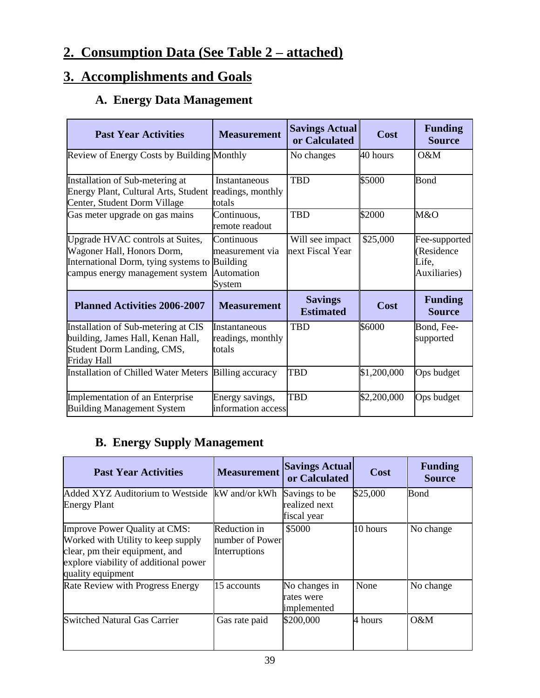## **2. Consumption Data (See Table 2 – attached)**

## **3. Accomplishments and Goals**

## **A. Energy Data Management**

| <b>Past Year Activities</b>                                                                                                                        | <b>Measurement</b>                                    | <b>Savings Actual</b><br>or Calculated | Cost        | <b>Funding</b><br><b>Source</b>                      |
|----------------------------------------------------------------------------------------------------------------------------------------------------|-------------------------------------------------------|----------------------------------------|-------------|------------------------------------------------------|
| Review of Energy Costs by Building Monthly                                                                                                         |                                                       | No changes                             | 40 hours    | O&M                                                  |
| Installation of Sub-metering at<br>Energy Plant, Cultural Arts, Student readings, monthly<br>Center, Student Dorm Village                          | Instantaneous<br>totals                               | <b>TBD</b>                             | \$5000      | <b>Bond</b>                                          |
| Gas meter upgrade on gas mains                                                                                                                     | Continuous,<br>remote readout                         | <b>TBD</b>                             | \$2000      | M&O                                                  |
| Upgrade HVAC controls at Suites,<br>Wagoner Hall, Honors Dorm,<br>International Dorm, tying systems to Building<br>campus energy management system | Continuous<br>measurement via<br>Automation<br>System | Will see impact<br>next Fiscal Year    | \$25,000    | Fee-supported<br>(Residence<br>Life,<br>Auxiliaries) |
| <b>Planned Activities 2006-2007</b>                                                                                                                | <b>Measurement</b>                                    | <b>Savings</b><br><b>Estimated</b>     | <b>Cost</b> | <b>Funding</b><br><b>Source</b>                      |
| Installation of Sub-metering at CIS<br>building, James Hall, Kenan Hall,<br>Student Dorm Landing, CMS,<br>Friday Hall                              | Instantaneous<br>readings, monthly<br>totals          | <b>TBD</b>                             | \$6000      | Bond, Fee-<br>supported                              |
| <b>Installation of Chilled Water Meters</b>                                                                                                        | <b>Billing accuracy</b>                               | TBD                                    | \$1,200,000 | Ops budget                                           |
| Implementation of an Enterprise<br><b>Building Management System</b>                                                                               | Energy savings,<br>information access                 | <b>TBD</b>                             | \$2,200,000 | Ops budget                                           |

### **B. Energy Supply Management**

| <b>Past Year Activities</b>                                                                                                                                                | <b>Measurement</b>                               | <b>Savings Actual</b><br>or Calculated        | Cost     | <b>Funding</b><br><b>Source</b> |
|----------------------------------------------------------------------------------------------------------------------------------------------------------------------------|--------------------------------------------------|-----------------------------------------------|----------|---------------------------------|
| Added XYZ Auditorium to Westside<br><b>Energy Plant</b>                                                                                                                    | kW and/or kWh                                    | Savings to be<br>realized next<br>fiscal year | \$25,000 | Bond                            |
| <b>Improve Power Quality at CMS:</b><br>Worked with Utility to keep supply<br>clear, pm their equipment, and<br>explore viability of additional power<br>quality equipment | Reduction in<br>number of Power<br>Interruptions | \$5000                                        | 10 hours | No change                       |
| Rate Review with Progress Energy                                                                                                                                           | 15 accounts                                      | No changes in<br>rates were<br>implemented    | None     | No change                       |
| <b>Switched Natural Gas Carrier</b>                                                                                                                                        | Gas rate paid                                    | \$200,000                                     | 4 hours  | $O\&M$                          |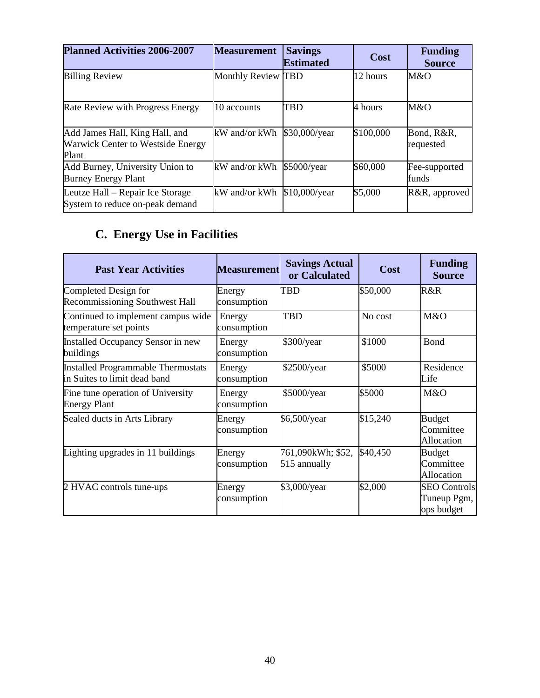| <b>Planned Activities 2006-2007</b>                                                 | <b>Measurement</b> | <b>Savings</b><br><b>Estimated</b> | Cost      | <b>Funding</b><br><b>Source</b> |
|-------------------------------------------------------------------------------------|--------------------|------------------------------------|-----------|---------------------------------|
| <b>Billing Review</b>                                                               | Monthly Review TBD |                                    | 12 hours  | M&O                             |
| Rate Review with Progress Energy                                                    | 10 accounts        | <b>TBD</b>                         | 4 hours   | M&O                             |
| Add James Hall, King Hall, and<br><b>Warwick Center to Westside Energy</b><br>Plant | kW and/or kWh      | \$30,000/year                      | \$100,000 | Bond, R&R,<br>requested         |
| Add Burney, University Union to<br><b>Burney Energy Plant</b>                       | kW and/or kWh      | \$5000/year                        | \$60,000  | Fee-supported<br>funds          |
| Leutze Hall – Repair Ice Storage<br>System to reduce on-peak demand                 | kW and/or kWh      | $$10,000/\text{year}$              | \$5,000   | R&R, approved                   |

## **C. Energy Use in Facilities**

| <b>Past Year Activities</b>                                        | <b>Measurement</b>    | <b>Savings Actual</b><br>or Calculated | Cost     | <b>Funding</b><br><b>Source</b>                  |
|--------------------------------------------------------------------|-----------------------|----------------------------------------|----------|--------------------------------------------------|
| Completed Design for<br><b>Recommissioning Southwest Hall</b>      | Energy<br>consumption | TBD                                    | \$50,000 | R&R                                              |
| Continued to implement campus wide<br>temperature set points       | Energy<br>consumption | <b>TBD</b>                             | No cost  | M&O                                              |
| Installed Occupancy Sensor in new<br>buildings                     | Energy<br>consumption | \$300/year                             | \$1000   | Bond                                             |
| Installed Programmable Thermostats<br>in Suites to limit dead band | Energy<br>consumption | \$2500/year                            | \$5000   | Residence<br>Life                                |
| Fine tune operation of University<br><b>Energy Plant</b>           | Energy<br>consumption | \$5000/year                            | \$5000   | M&O                                              |
| Sealed ducts in Arts Library                                       | Energy<br>consumption | \$6,500/year                           | \$15,240 | <b>Budget</b><br>Committee<br><b>Allocation</b>  |
| Lighting upgrades in 11 buildings                                  | Energy<br>consumption | 761,090kWh; \$52,<br>515 annually      | \$40,450 | <b>Budget</b><br>Committee<br><b>Allocation</b>  |
| 2 HVAC controls tune-ups                                           | Energy<br>consumption | \$3,000/year                           | \$2,000  | <b>SEO Controls</b><br>Tuneup Pgm,<br>ops budget |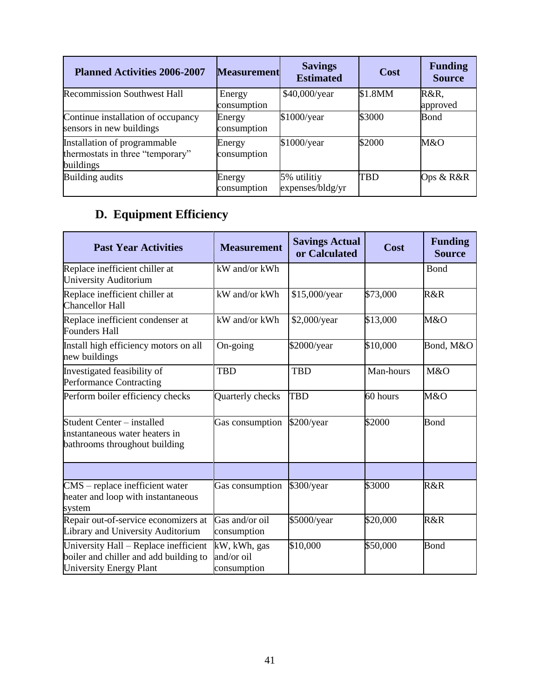| <b>Planned Activities 2006-2007</b>                                           | <b>Measurement</b>    | <b>Savings</b><br><b>Estimated</b> | Cost    | <b>Funding</b><br><b>Source</b> |
|-------------------------------------------------------------------------------|-----------------------|------------------------------------|---------|---------------------------------|
| <b>Recommission Southwest Hall</b>                                            | Energy<br>consumption | \$40,000/year                      | \$1.8MM | R&R,<br>approved                |
| Continue installation of occupancy<br>sensors in new buildings                | Energy<br>consumption | \$1000/year                        | \$3000  | Bond                            |
| Installation of programmable<br>thermostats in three "temporary"<br>buildings | Energy<br>consumption | \$1000/year                        | \$2000  | M&O                             |
| Building audits                                                               | Energy<br>consumption | 5% utilitiy<br>expenses/bldg/yr    | TBD     | Ops & R&R                       |

## **D. Equipment Efficiency**

| <b>Past Year Activities</b>                                                                                | <b>Measurement</b>                        | <b>Savings Actual</b><br>or Calculated | Cost      | <b>Funding</b><br><b>Source</b> |
|------------------------------------------------------------------------------------------------------------|-------------------------------------------|----------------------------------------|-----------|---------------------------------|
| Replace inefficient chiller at<br>University Auditorium                                                    | kW and/or kWh                             |                                        |           | <b>Bond</b>                     |
| Replace inefficient chiller at<br>Chancellor Hall                                                          | kW and/or kWh                             | \$15,000/year                          | \$73,000  | R&R                             |
| Replace inefficient condenser at<br><b>Founders Hall</b>                                                   | kW and/or kWh                             | \$2,000/year                           | \$13,000  | M&O                             |
| Install high efficiency motors on all<br>new buildings                                                     | On-going                                  | \$2000/year                            | \$10,000  | Bond, M&O                       |
| Investigated feasibility of<br>Performance Contracting                                                     | <b>TBD</b>                                | <b>TBD</b>                             | Man-hours | M&O                             |
| Perform boiler efficiency checks                                                                           | Quarterly checks                          | <b>TBD</b>                             | 60 hours  | M&O                             |
| Student Center - installed<br>instantaneous water heaters in<br>bathrooms throughout building              | Gas consumption                           | \$200/year                             | \$2000    | Bond                            |
|                                                                                                            |                                           |                                        |           |                                 |
| CMS - replace inefficient water<br>heater and loop with instantaneous<br>system                            | Gas consumption                           | \$300/year                             | \$3000    | R&R                             |
| Repair out-of-service economizers at<br>Library and University Auditorium                                  | Gas and/or oil<br>consumption             | \$5000/year                            | \$20,000  | R&R                             |
| University Hall - Replace inefficient<br>boiler and chiller and add building to<br>University Energy Plant | kW, kWh, gas<br>and/or oil<br>consumption | \$10,000                               | \$50,000  | Bond                            |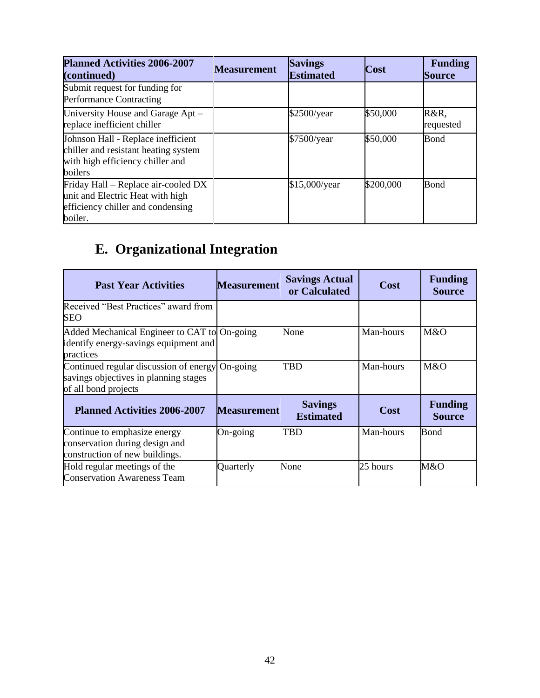| <b>Planned Activities 2006-2007</b><br>(continued)                                                                        | <b>Measurement</b> | <b>Savings</b><br><b>Estimated</b> | <b>Cost</b> | <b>Funding</b><br><b>Source</b> |
|---------------------------------------------------------------------------------------------------------------------------|--------------------|------------------------------------|-------------|---------------------------------|
| Submit request for funding for<br><b>Performance Contracting</b>                                                          |                    |                                    |             |                                 |
| University House and Garage Apt -<br>replace inefficient chiller                                                          |                    | \$2500/year                        | \$50,000    | R&R,<br>requested               |
| Johnson Hall - Replace inefficient<br>chiller and resistant heating system<br>with high efficiency chiller and<br>boilers |                    | \$7500/year                        | \$50,000    | Bond                            |
| Friday Hall - Replace air-cooled DX<br>unit and Electric Heat with high<br>efficiency chiller and condensing<br>boiler.   |                    | \$15,000/year                      | \$200,000   | Bond                            |

# **E. Organizational Integration**

| <b>Past Year Activities</b>                                                                             | <b>Measurement</b> | <b>Savings Actual</b><br>or Calculated | Cost      | <b>Funding</b><br><b>Source</b> |
|---------------------------------------------------------------------------------------------------------|--------------------|----------------------------------------|-----------|---------------------------------|
| Received "Best Practices" award from<br><b>SEO</b>                                                      |                    |                                        |           |                                 |
| Added Mechanical Engineer to CAT to On-going<br>identify energy-savings equipment and<br>practices      |                    | None                                   | Man-hours | M&O                             |
| Continued regular discussion of energy<br>savings objectives in planning stages<br>of all bond projects | $On$ -going        | <b>TBD</b>                             | Man-hours | M&O                             |
| <b>Planned Activities 2006-2007</b>                                                                     | <b>Measurement</b> | <b>Savings</b><br><b>Estimated</b>     | Cost      | <b>Funding</b><br><b>Source</b> |
| Continue to emphasize energy<br>conservation during design and<br>construction of new buildings.        | On-going           | <b>TBD</b>                             | Man-hours | Bond                            |
| Hold regular meetings of the<br><b>Conservation Awareness Team</b>                                      | Quarterly          | None                                   | 25 hours  | M&O                             |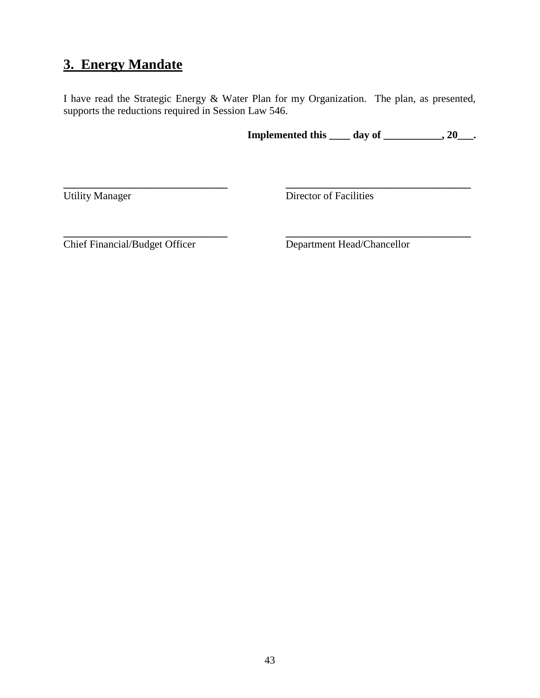### **3. Energy Mandate**

I have read the Strategic Energy & Water Plan for my Organization. The plan, as presented, supports the reductions required in Session Law 546.

**\_\_\_\_\_\_\_\_\_\_\_\_\_\_\_\_\_\_\_\_\_\_\_\_\_\_\_\_\_\_\_ \_\_\_\_\_\_\_\_\_\_\_\_\_\_\_\_\_\_\_\_\_\_\_\_\_\_\_\_\_\_\_\_\_\_\_**

**Implemented this \_\_\_\_ day of \_\_\_\_\_\_\_\_\_\_\_, 20\_\_\_.**

Utility Manager Director of Facilities

**\_\_\_\_\_\_\_\_\_\_\_\_\_\_\_\_\_\_\_\_\_\_\_\_\_\_\_\_\_\_\_ \_\_\_\_\_\_\_\_\_\_\_\_\_\_\_\_\_\_\_\_\_\_\_\_\_\_\_\_\_\_\_\_\_\_\_** Chief Financial/Budget Officer Department Head/Chancellor